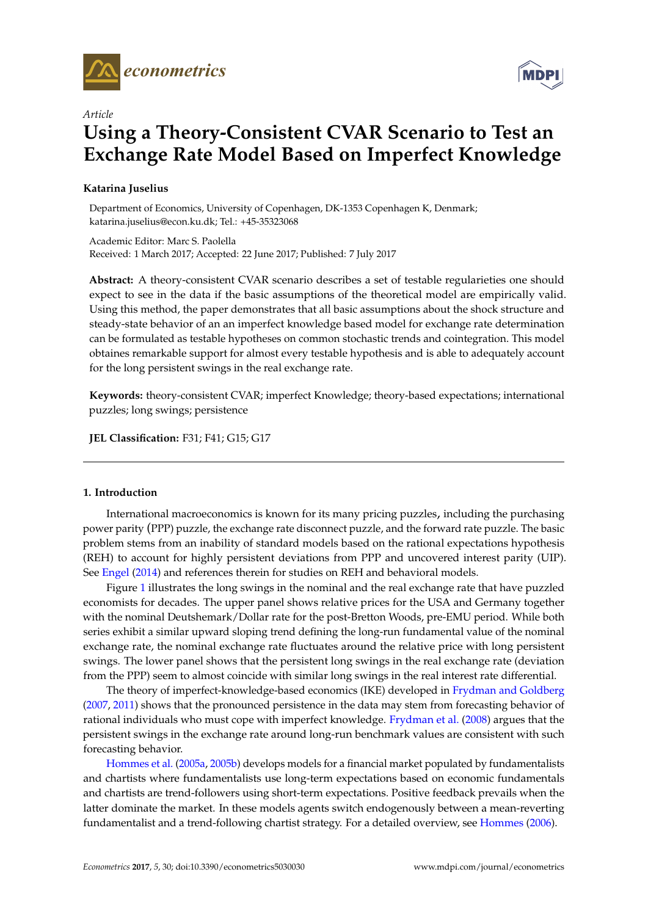



# *Article* **Using a Theory-Consistent CVAR Scenario to Test an Exchange Rate Model Based on Imperfect Knowledge**

# **Katarina Juselius**

Department of Economics, University of Copenhagen, DK-1353 Copenhagen K, Denmark; katarina.juselius@econ.ku.dk; Tel.: +45-35323068

Academic Editor: Marc S. Paolella Received: 1 March 2017; Accepted: 22 June 2017; Published: 7 July 2017

**Abstract:** A theory-consistent CVAR scenario describes a set of testable regularieties one should expect to see in the data if the basic assumptions of the theoretical model are empirically valid. Using this method, the paper demonstrates that all basic assumptions about the shock structure and steady-state behavior of an an imperfect knowledge based model for exchange rate determination can be formulated as testable hypotheses on common stochastic trends and cointegration. This model obtaines remarkable support for almost every testable hypothesis and is able to adequately account for the long persistent swings in the real exchange rate.

**Keywords:** theory-consistent CVAR; imperfect Knowledge; theory-based expectations; international puzzles; long swings; persistence

**JEL Classification:** F31; F41; G15; G17

## **1. Introduction**

International macroeconomics is known for its many pricing puzzles, including the purchasing power parity (PPP) puzzle, the exchange rate disconnect puzzle, and the forward rate puzzle. The basic problem stems from an inability of standard models based on the rational expectations hypothesis (REH) to account for highly persistent deviations from PPP and uncovered interest parity (UIP). See [Engel](#page-18-0) [\(2014\)](#page-18-0) and references therein for studies on REH and behavioral models.

Figure [1](#page-1-0) illustrates the long swings in the nominal and the real exchange rate that have puzzled economists for decades. The upper panel shows relative prices for the USA and Germany together with the nominal Deutshemark/Dollar rate for the post-Bretton Woods, pre-EMU period. While both series exhibit a similar upward sloping trend defining the long-run fundamental value of the nominal exchange rate, the nominal exchange rate fluctuates around the relative price with long persistent swings. The lower panel shows that the persistent long swings in the real exchange rate (deviation from the PPP) seem to almost coincide with similar long swings in the real interest rate differential.

The theory of imperfect-knowledge-based economics (IKE) developed in [Frydman and Goldberg](#page-18-1) [\(2007,](#page-18-1) [2011\)](#page-18-2) shows that the pronounced persistence in the data may stem from forecasting behavior of rational individuals who must cope with imperfect knowledge. [Frydman et al.](#page-18-3) [\(2008\)](#page-18-3) argues that the persistent swings in the exchange rate around long-run benchmark values are consistent with such forecasting behavior.

[Hommes et al.](#page-18-4) [\(2005a,](#page-18-4) [2005b\)](#page-18-5) develops models for a financial market populated by fundamentalists and chartists where fundamentalists use long-term expectations based on economic fundamentals and chartists are trend-followers using short-term expectations. Positive feedback prevails when the latter dominate the market. In these models agents switch endogenously between a mean-reverting fundamentalist and a trend-following chartist strategy. For a detailed overview, see [Hommes](#page-18-6) [\(2006\)](#page-18-6).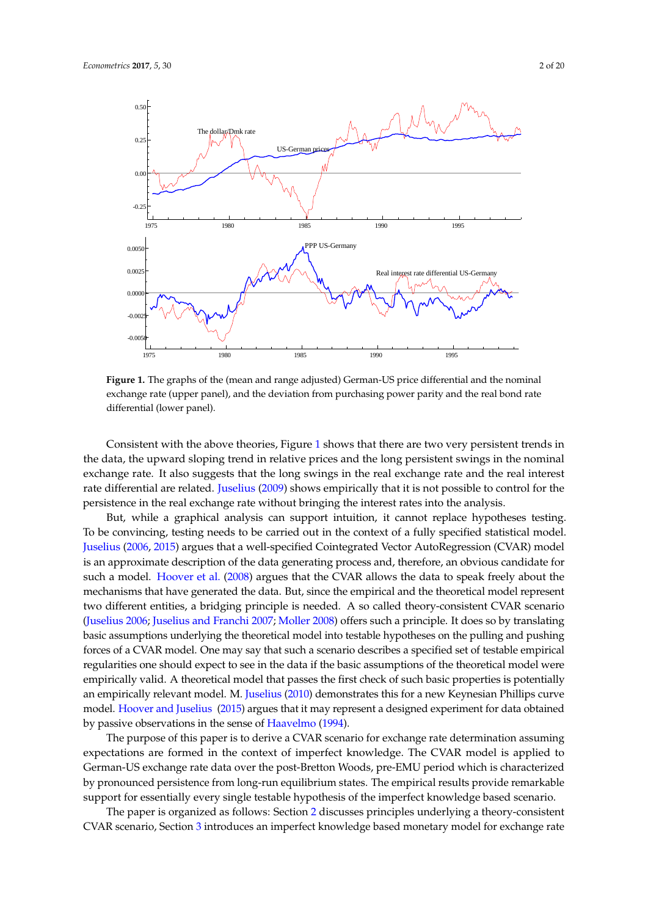<span id="page-1-0"></span>

Figure 1: The graphs of the (mean and range adjusted) German-US price exchange rate (upper panel), and the deviation from purchasing power parity and the real bond rate differential (lower panel).  $\frac{1}{1}$  (upper panel), and the nominal state  $\frac{1}{1}$  (upper panel), and the nominal state  $\frac{1}{1}$  (upper panel), and the nominal state  $\frac{1}{1}$  (upper panel), and the nominal state  $\frac{1$ ppp = pp s<sup>12</sup> and the real bond rate di§erential(lower panel). **Figure 1.** The graphs of the (mean and range adjusted) German-US price differential and the nominal

the data, the upward sloping trend in relative prices and the long persistent swings in the nominal exchange rate. It also suggests that the long swings in the real exchange rate and the real interest rate differential are related. Juselius [\(2009\)](#page-19-0) shows empirically that it is not possible to control for the persistence in the real exchange rate without bringing the interest rates into the analysis. Consistent with the above theories, Figure [1](#page-1-0) shows that there are two very persistent trends in

But, while a graphical analysis can support intuition, it cannot replace hypotheses testing. To be convincing, testing needs to be carried out in the context of a fully specified statistical model. Juselius (2006, 2015) argues that a well-specified Cointeg[rate](#page-18-7)d Vector AutoRegression (CVAR) model is an approximate description of the data generating process and, therefore, an obvious candidate for such a model. Hoover et al. (2008) argues that the CVAR allows the data to speak freely about the mechanisms that have generated the data. But, since the empirical and the theoretical model represent two different entities, a bridging principle is needed. A so called theory-consistent CVAR scenario [\(Juselius](#page-18-7) [2006;](#page-18-7) [Juselius and Franchi](#page-19-2) [2007;](#page-19-2) [Moller](#page-19-3) [2008\)](#page-19-3) offers such a principle. It does so by translating basic assumptions underlying the theoretical model into testable hypotheses on the pulling and pushing forces of a CVAR model. One may say that such a scenario describes a specified set of testable empirical in the U an empirically relevant model. M. J<mark>uselius [\(2010\)](#page-19-4) demonstrates this for a new Keynesian Phillips curve</mark> regularities one should expect to see in the data if the basic assumptions of the theoretical model were empirically valid. A theoretical model that passes the first check of such basic properties is potentially model. [Hoover and Juselius](#page-18-9) [\(2015\)](#page-18-9) argues that it may represent a designed experiment for data obtained by passive observations in the sense of [Haavelmo](#page-18-10) [\(1994\)](#page-18-10).

The purpose of this paper is to derive a CVAR scenario for exchange rate determination assuming expectations are formed in the context of imperfect knowledge. The CVAR model is applied to German-US exchange rate data over the post-Bretton Woods, pre-EMU period which is characterized by pronounced persistence from long-run equilibrium states. The empirical results provide remarkable support for essentially every single testable hypothesis of the imperfect knowledge based scenario.

The paper is organized as follows: Section [2](#page-2-0) discusses principles underlying a theory-consistent CVAR scenario, Section [3](#page-4-0) introduces an imperfect knowledge based monetary model for exchange rate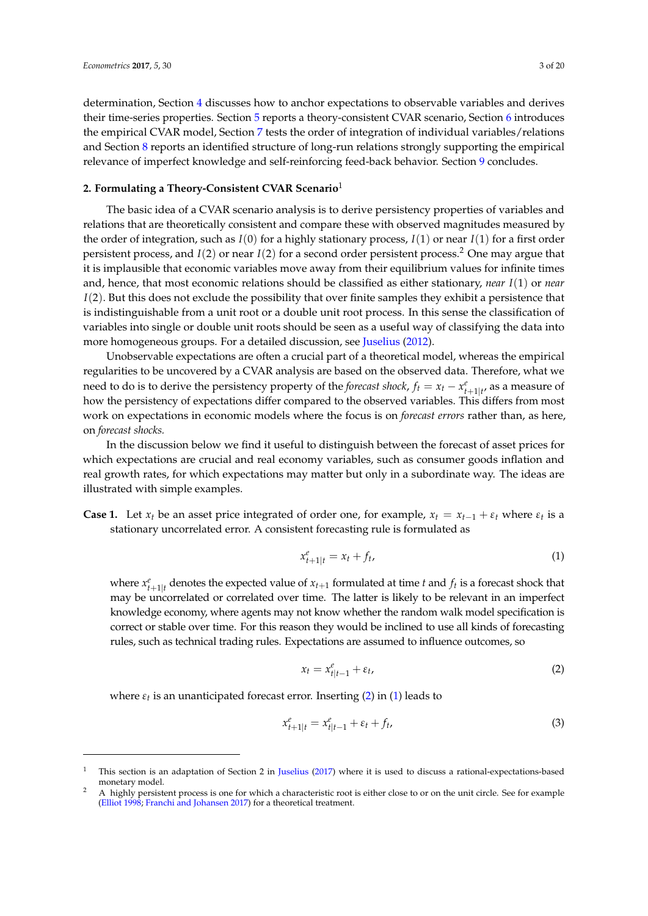determination, Section [4](#page-6-0) discusses how to anchor expectations to observable variables and derives their time-series properties. Section [5](#page-7-0) reports a theory-consistent CVAR scenario, Section [6](#page-10-0) introduces the empirical CVAR model, Section [7](#page-11-0) tests the order of integration of individual variables/relations and Section [8](#page-12-0) reports an identified structure of long-run relations strongly supporting the empirical relevance of imperfect knowledge and self-reinforcing feed-back behavior. Section [9](#page-13-0) concludes.

## <span id="page-2-0"></span>**2. Formulating a Theory-Consistent CVAR Scenario**<sup>1</sup>

The basic idea of a CVAR scenario analysis is to derive persistency properties of variables and relations that are theoretically consistent and compare these with observed magnitudes measured by the order of integration, such as  $I(0)$  for a highly stationary process,  $I(1)$  or near  $I(1)$  for a first order persistent process, and *I*(2) or near *I*(2) for a second order persistent process.<sup>2</sup> One may argue that it is implausible that economic variables move away from their equilibrium values for infinite times and, hence, that most economic relations should be classified as either stationary, *near I*(1) or *near I*(2). But this does not exclude the possibility that over finite samples they exhibit a persistence that is indistinguishable from a unit root or a double unit root process. In this sense the classification of variables into single or double unit roots should be seen as a useful way of classifying the data into more homogeneous groups. For a detailed discussion, see [Juselius](#page-19-5) [\(2012\)](#page-19-5).

Unobservable expectations are often a crucial part of a theoretical model, whereas the empirical regularities to be uncovered by a CVAR analysis are based on the observed data. Therefore, what we need to do is to derive the persistency property of the *forecast shock*,  $f_t = x_t - x_{t+1|t'}^e$  as a measure of how the persistency of expectations differ compared to the observed variables. This differs from most work on expectations in economic models where the focus is on *forecast errors* rather than, as here, on *forecast shocks.*

In the discussion below we find it useful to distinguish between the forecast of asset prices for which expectations are crucial and real economy variables, such as consumer goods inflation and real growth rates, for which expectations may matter but only in a subordinate way. The ideas are illustrated with simple examples.

**Case 1.** Let  $x_t$  be an asset price integrated of order one, for example,  $x_t = x_{t-1} + \varepsilon_t$  where  $\varepsilon_t$  is a stationary uncorrelated error. A consistent forecasting rule is formulated as

<span id="page-2-2"></span>
$$
x_{t+1|t}^e = x_t + f_t,\tag{1}
$$

where  $x_{t+1|t}^e$  denotes the expected value of  $x_{t+1}$  formulated at time *t* and  $f_t$  is a forecast shock that may be uncorrelated or correlated over time. The latter is likely to be relevant in an imperfect knowledge economy, where agents may not know whether the random walk model specification is correct or stable over time. For this reason they would be inclined to use all kinds of forecasting rules, such as technical trading rules. Expectations are assumed to influence outcomes, so

<span id="page-2-1"></span>
$$
x_t = x_{t|t-1}^e + \varepsilon_t, \tag{2}
$$

where *εt* is an unanticipated forecast error. Inserting [\(2\)](#page-2-1) in [\(1\)](#page-2-2) leads to

<span id="page-2-3"></span>
$$
x_{t+1|t}^e = x_{t|t-1}^e + \varepsilon_t + f_t,
$$
\n(3)

<sup>&</sup>lt;sup>1</sup> This section is an adaptation of Section 2 in [Juselius](#page-19-6) [\(2017\)](#page-19-6) where it is used to discuss a rational-expectations-based monetary model.

<sup>2</sup> A highly persistent process is one for which a characteristic root is either close to or on the unit circle. See for example [\(Elliot](#page-18-11) [1998;](#page-18-11) [Franchi and Johansen](#page-18-12) [2017\)](#page-18-12) for a theoretical treatment.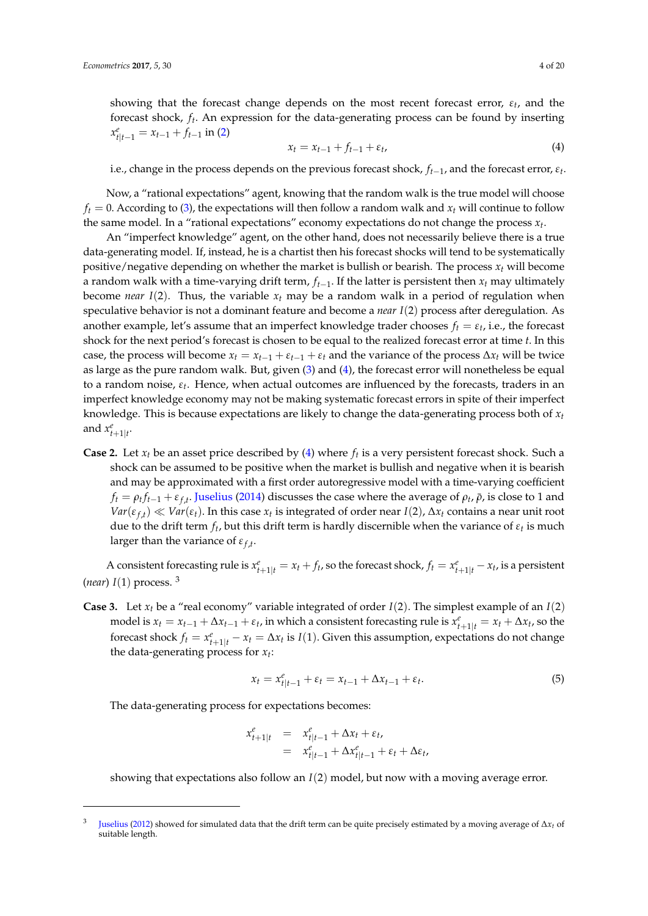showing that the forecast change depends on the most recent forecast error, *ε<sup>t</sup>* , and the forecast shock, *f<sup>t</sup>* . An expression for the data-generating process can be found by inserting  $x_{t|t-1}^e = x_{t-1} + f_{t-1}$  in [\(2\)](#page-2-1)

<span id="page-3-0"></span>
$$
x_t = x_{t-1} + f_{t-1} + \varepsilon_t, \tag{4}
$$

i.e., change in the process depends on the previous forecast shock, *ft*−1, and the forecast error, *ε<sup>t</sup>* .

Now, a "rational expectations" agent, knowing that the random walk is the true model will choose  $f_t = 0$ . According to [\(3\)](#page-2-3), the expectations will then follow a random walk and  $x_t$  will continue to follow the same model. In a "rational expectations" economy expectations do not change the process  $x_t$ .

An "imperfect knowledge" agent, on the other hand, does not necessarily believe there is a true data-generating model. If, instead, he is a chartist then his forecast shocks will tend to be systematically positive/negative depending on whether the market is bullish or bearish. The process  $x_t$  will become a random walk with a time-varying drift term, *ft*−1. If the latter is persistent then *x<sup>t</sup>* may ultimately become *near*  $I(2)$ . Thus, the variable  $x_t$  may be a random walk in a period of regulation when speculative behavior is not a dominant feature and become a *near I*(2) process after deregulation. As another example, let's assume that an imperfect knowledge trader chooses  $f_t = \varepsilon_t$ , i.e., the forecast shock for the next period's forecast is chosen to be equal to the realized forecast error at time *t*. In this case, the process will become  $x_t = x_{t-1} + \varepsilon_{t-1} + \varepsilon_t$  and the variance of the process  $\Delta x_t$  will be twice as large as the pure random walk. But, given [\(3\)](#page-2-3) and [\(4\)](#page-3-0), the forecast error will nonetheless be equal to a random noise, *ε<sup>t</sup>* . Hence, when actual outcomes are influenced by the forecasts, traders in an imperfect knowledge economy may not be making systematic forecast errors in spite of their imperfect knowledge. This is because expectations are likely to change the data-generating process both of *x<sup>t</sup>* and  $x_{t+1|t}^e$ .

**Case 2.** Let  $x_t$  be an asset price described by [\(4\)](#page-3-0) where  $f_t$  is a very persistent forecast shock. Such a shock can be assumed to be positive when the market is bullish and negative when it is bearish and may be approximated with a first order autoregressive model with a time-varying coefficient  $f_t = \rho_t f_{t-1} + \varepsilon_{f,t}$ . [Juselius](#page-19-7) [\(2014\)](#page-19-7) discusses the case where the average of  $\rho_t$ ,  $\bar{\rho}$ , is close to 1 and  $Var(\varepsilon_{f,t}) \ll Var(\varepsilon_t)$ . In this case  $x_t$  is integrated of order near *I*(2),  $\Delta x_t$  contains a near unit root due to the drift term  $f_t$ , but this drift term is hardly discernible when the variance of  $\varepsilon_t$  is much larger than the variance of *εf*,*<sup>t</sup>* .

A consistent forecasting rule is  $x_{t+1|t}^e = x_t + f_t$ , so the forecast shock,  $f_t = x_{t+1|t}^e - x_t$ , is a persistent (*near*)  $I(1)$  process. <sup>3</sup>

**Case 3.** Let  $x_t$  be a "real economy" variable integrated of order  $I(2)$ . The simplest example of an  $I(2)$ model is  $x_t = x_{t-1} + \Delta x_{t-1} + \varepsilon_t$ , in which a consistent forecasting rule is  $x_{t+1|t}^e = x_t + \Delta x_t$ , so the forecast shock  $f_t = x_{t+1|t}^e - x_t = \Delta x_t$  is  $I(1)$ . Given this assumption, expectations do not change the data-generating process for *x<sup>t</sup>* :

<span id="page-3-1"></span>
$$
x_t = x_{t|t-1}^e + \varepsilon_t = x_{t-1} + \Delta x_{t-1} + \varepsilon_t.
$$
 (5)

The data-generating process for expectations becomes:

$$
x_{t+1|t}^e = x_{t|t-1}^e + \Delta x_t + \varepsilon_t,
$$
  
= 
$$
x_{t|t-1}^e + \Delta x_{t|t-1}^e + \varepsilon_t + \Delta \varepsilon_t,
$$

showing that expectations also follow an *I*(2) model, but now with a moving average error.

<sup>3</sup> [Juselius](#page-19-5) [\(2012\)](#page-19-5) showed for simulated data that the drift term can be quite precisely estimated by a moving average of ∆*x<sup>t</sup>* of suitable length.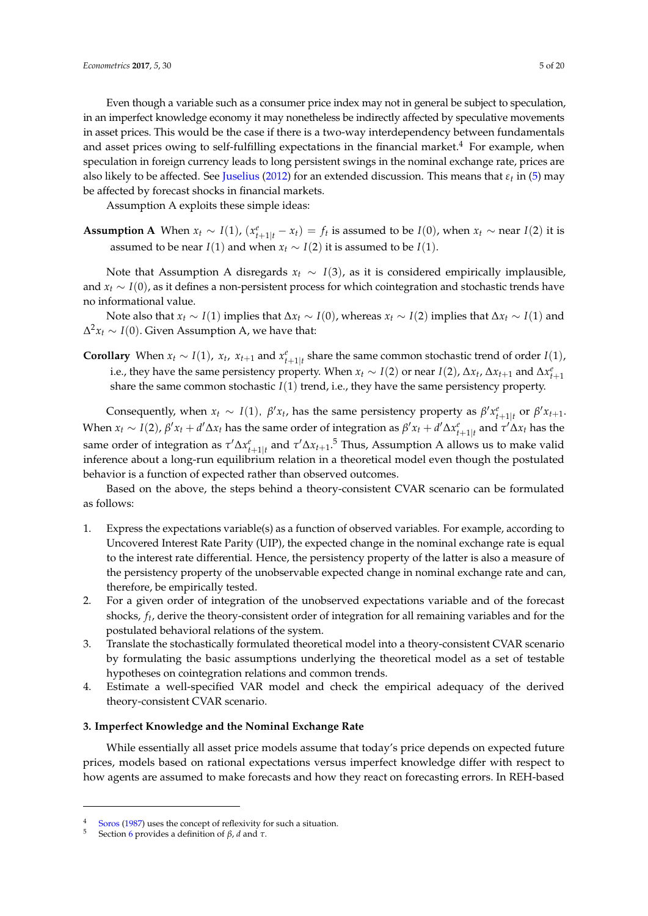Even though a variable such as a consumer price index may not in general be subject to speculation, in an imperfect knowledge economy it may nonetheless be indirectly affected by speculative movements in asset prices. This would be the case if there is a two-way interdependency between fundamentals and asset prices owing to self-fulfilling expectations in the financial market.<sup>4</sup> For example, when speculation in foreign currency leads to long persistent swings in the nominal exchange rate, prices are also likely to be affected. See [Juselius](#page-19-5) [\(2012\)](#page-19-5) for an extended discussion. This means that *εt* in [\(5\)](#page-3-1) may be affected by forecast shocks in financial markets.

Assumption A exploits these simple ideas:

**Assumption A** When  $x_t \sim I(1)$ ,  $(x_{t+1|t}^e - x_t) = f_t$  is assumed to be  $I(0)$ , when  $x_t \sim$  near  $I(2)$  it is assumed to be near *I*(1) and when  $x_t \sim I(2)$  it is assumed to be *I*(1).

Note that Assumption A disregards  $x_t \sim I(3)$ , as it is considered empirically implausible, and *x<sup>t</sup>* ∼ *I*(0), as it defines a non-persistent process for which cointegration and stochastic trends have no informational value.

Note also that  $x_t \sim I(1)$  implies that  $\Delta x_t \sim I(0)$ , whereas  $x_t \sim I(2)$  implies that  $\Delta x_t \sim I(1)$  and ∆ <sup>2</sup>*x<sup>t</sup>* ∼ *I*(0). Given Assumption A, we have that:

**Corollary** When  $x_t \sim I(1)$ ,  $x_t$ ,  $x_{t+1}$  and  $x_{t+1|t}$  share the same common stochastic trend of order *I*(1), i.e., they have the same persistency property. When  $x_t \sim I(2)$  or near  $I(2)$ ,  $\Delta x_t$ ,  $\Delta x_{t+1}$  and  $\Delta x_{t+1}^e$ share the same common stochastic  $I(1)$  trend, i.e., they have the same persistency property.

Consequently, when  $x_t \sim I(1)$ ,  $\beta' x_t$ , has the same persistency property as  $\beta' x_{t+1|t}^e$  or  $\beta' x_{t+1}$ . When  $x_t \sim I(2)$ ,  $\beta' x_t + d' \Delta x_t$  has the same order of integration as  $\beta' x_t + d' \Delta x_{t+1|t}^e$  and  $\tau' \Delta x_t$  has the same order of integration as  $\tau' \Delta x_{t+1|t}^e$  and  $\tau' \Delta x_{t+1}$ .<sup>5</sup> Thus, Assumption A allows us to make valid inference about a long-run equilibrium relation in a theoretical model even though the postulated behavior is a function of expected rather than observed outcomes.

Based on the above, the steps behind a theory-consistent CVAR scenario can be formulated as follows:

- 1. Express the expectations variable(s) as a function of observed variables. For example, according to Uncovered Interest Rate Parity (UIP), the expected change in the nominal exchange rate is equal to the interest rate differential. Hence, the persistency property of the latter is also a measure of the persistency property of the unobservable expected change in nominal exchange rate and can, therefore, be empirically tested.
- 2. For a given order of integration of the unobserved expectations variable and of the forecast shocks, *f<sup>t</sup>* , derive the theory-consistent order of integration for all remaining variables and for the postulated behavioral relations of the system.
- 3. Translate the stochastically formulated theoretical model into a theory-consistent CVAR scenario by formulating the basic assumptions underlying the theoretical model as a set of testable hypotheses on cointegration relations and common trends.
- 4. Estimate a well-specified VAR model and check the empirical adequacy of the derived theory-consistent CVAR scenario.

# <span id="page-4-0"></span>**3. Imperfect Knowledge and the Nominal Exchange Rate**

While essentially all asset price models assume that today's price depends on expected future prices, models based on rational expectations versus imperfect knowledge differ with respect to how agents are assumed to make forecasts and how they react on forecasting errors. In REH-based

<sup>&</sup>lt;sup>4</sup> [Soros](#page-19-8) [\(1987\)](#page-19-8) uses the concept of reflexivity for such a situation.<br>5 Soction 6 provides a definition of  $\beta$ , d and  $\tau$ 

<sup>5</sup> Section [6](#page-10-0) provides a definition of *β*, *d* and *τ*.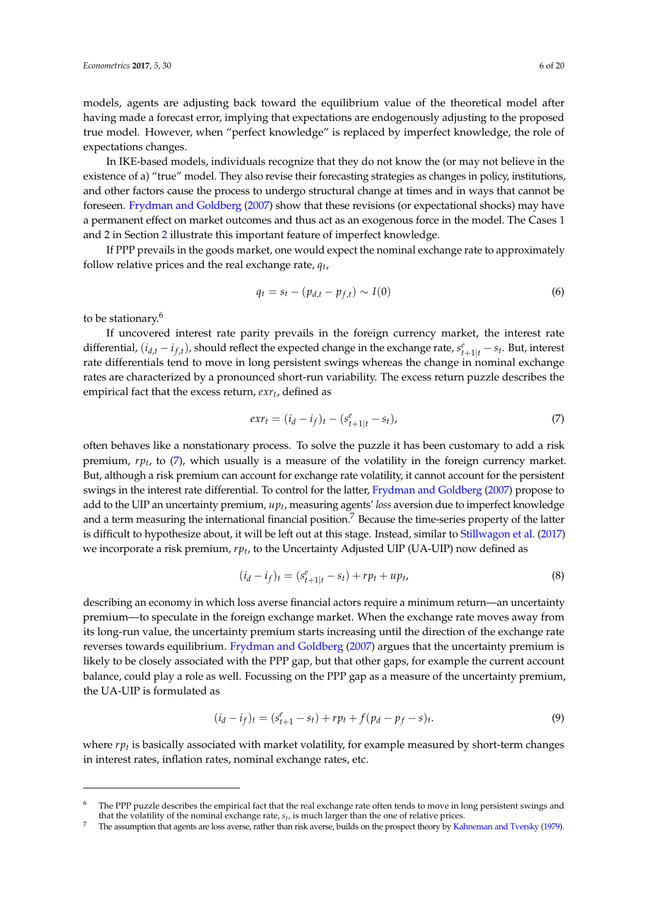models, agents are adjusting back toward the equilibrium value of the theoretical model after having made a forecast error, implying that expectations are endogenously adjusting to the proposed true model. However, when "perfect knowledge" is replaced by imperfect knowledge, the role of expectations changes.

In IKE-based models, individuals recognize that they do not know the (or may not believe in the existence of a) "true" model. They also revise their forecasting strategies as changes in policy, institutions, and other factors cause the process to undergo structural change at times and in ways that cannot be foreseen. [Frydman and Goldberg](#page-18-1) [\(2007\)](#page-18-1) show that these revisions (or expectational shocks) may have a permanent effect on market outcomes and thus act as an exogenous force in the model. The Cases 1 and 2 in Section [2](#page-2-0) illustrate this important feature of imperfect knowledge.

If PPP prevails in the goods market, one would expect the nominal exchange rate to approximately follow relative prices and the real exchange rate, *q<sup>t</sup>* ,

$$
q_t = s_t - (p_{d,t} - p_{f,t}) \sim I(0)
$$
\n(6)

to be stationary.<sup>6</sup>

If uncovered interest rate parity prevails in the foreign currency market, the interest rate differential,  $(i_{d,t} - i_{f,t})$ , should reflect the expected change in the exchange rate,  $s_{t+1|t}^e - s_t$ . But, interest rate differentials tend to move in long persistent swings whereas the change in nominal exchange rates are characterized by a pronounced short-run variability. The excess return puzzle describes the empirical fact that the excess return, *exr<sup>t</sup>* , defined as

<span id="page-5-0"></span>
$$
exr_t = (i_d - i_f)_t - (s_{t+1|t}^e - s_t),
$$
\n(7)

often behaves like a nonstationary process. To solve the puzzle it has been customary to add a risk premium, *rp<sup>t</sup>* , to [\(7\)](#page-5-0), which usually is a measure of the volatility in the foreign currency market. But, although a risk premium can account for exchange rate volatility, it cannot account for the persistent swings in the interest rate differential. To control for the latter, [Frydman and Goldberg](#page-18-1) [\(2007\)](#page-18-1) propose to add to the UIP an uncertainty premium, *up<sup>t</sup>* , measuring agents' *loss* aversion due to imperfect knowledge and a term measuring the international financial position.<sup>7</sup> Because the time-series property of the latter is difficult to hypothesize about, it will be left out at this stage. Instead, similar to [Stillwagon et al.](#page-19-9) [\(2017\)](#page-19-9) we incorporate a risk premium, *rp<sup>t</sup>* , to the Uncertainty Adjusted UIP (UA-UIP) now defined as

$$
(i_d - i_f)_t = (s_{t+1|t}^e - s_t) + rp_t + up_t,
$$
\n(8)

describing an economy in which loss averse financial actors require a minimum return—an uncertainty premium—to speculate in the foreign exchange market. When the exchange rate moves away from its long-run value, the uncertainty premium starts increasing until the direction of the exchange rate reverses towards equilibrium. [Frydman and Goldberg](#page-18-1) [\(2007\)](#page-18-1) argues that the uncertainty premium is likely to be closely associated with the PPP gap, but that other gaps, for example the current account balance, could play a role as well. Focussing on the PPP gap as a measure of the uncertainty premium, the UA-UIP is formulated as

<span id="page-5-1"></span>
$$
(i_d - i_f)_t = (s_{t+1}^e - s_t) + r p_t + f(p_d - p_f - s)_t.
$$
\n(9)

where *rp<sup>t</sup>* is basically associated with market volatility, for example measured by short-term changes in interest rates, inflation rates, nominal exchange rates, etc.

The PPP puzzle describes the empirical fact that the real exchange rate often tends to move in long persistent swings and that the volatility of the nominal exchange rate, *s<sup>t</sup>* , is much larger than the one of relative prices.

<sup>7</sup> The assumption that agents are loss averse, rather than risk averse, builds on the prospect theory by [Kahneman and Tversky](#page-19-10) [\(1979\)](#page-19-10).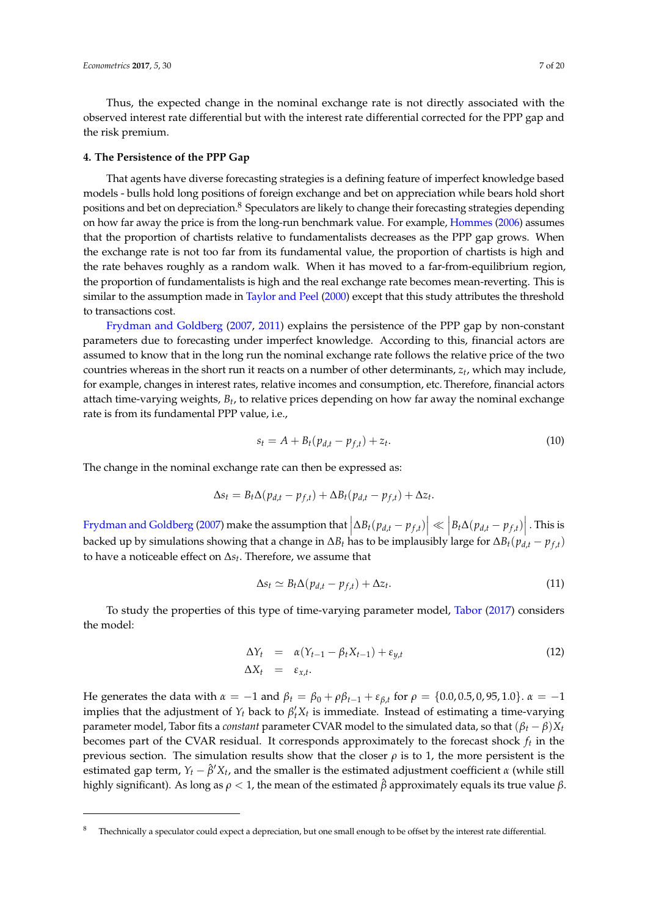Thus, the expected change in the nominal exchange rate is not directly associated with the observed interest rate differential but with the interest rate differential corrected for the PPP gap and the risk premium.

#### <span id="page-6-0"></span>**4. The Persistence of the PPP Gap**

That agents have diverse forecasting strategies is a defining feature of imperfect knowledge based models - bulls hold long positions of foreign exchange and bet on appreciation while bears hold short positions and bet on depreciation.<sup>8</sup> Speculators are likely to change their forecasting strategies depending on how far away the price is from the long-run benchmark value. For example, [Hommes](#page-18-6) [\(2006\)](#page-18-6) assumes that the proportion of chartists relative to fundamentalists decreases as the PPP gap grows. When the exchange rate is not too far from its fundamental value, the proportion of chartists is high and the rate behaves roughly as a random walk. When it has moved to a far-from-equilibrium region, the proportion of fundamentalists is high and the real exchange rate becomes mean-reverting. This is similar to the assumption made in [Taylor and Peel](#page-19-11) [\(2000\)](#page-19-11) except that this study attributes the threshold to transactions cost.

[Frydman and Goldberg](#page-18-1) [\(2007,](#page-18-1) [2011\)](#page-18-2) explains the persistence of the PPP gap by non-constant parameters due to forecasting under imperfect knowledge. According to this, financial actors are assumed to know that in the long run the nominal exchange rate follows the relative price of the two countries whereas in the short run it reacts on a number of other determinants, *z<sup>t</sup>* , which may include, for example, changes in interest rates, relative incomes and consumption, etc. Therefore, financial actors attach time-varying weights, *B<sup>t</sup>* , to relative prices depending on how far away the nominal exchange rate is from its fundamental PPP value, i.e.,

$$
s_t = A + B_t (p_{d,t} - p_{f,t}) + z_t.
$$
 (10)

The change in the nominal exchange rate can then be expressed as:

$$
\Delta s_t = B_t \Delta (p_{d,t} - p_{f,t}) + \Delta B_t (p_{d,t} - p_{f,t}) + \Delta z_t.
$$

[Frydman and Goldberg](#page-18-1) [\(2007\)](#page-18-1) make the assumption that  $\left|\Delta B_t(p_{d,t} - p_{f,t})\right| \ll \left|B_t\Delta(p_{d,t} - p_{f,t})\right|$ . This is backed up by simulations showing that a change in ∆*B<sup>t</sup>* has to be implausibly large for ∆*Bt*(*pd*,*<sup>t</sup>* − *p<sup>f</sup>* ,*<sup>t</sup>* ) to have a noticeable effect on ∆*s<sup>t</sup>* . Therefore, we assume that

<span id="page-6-1"></span>
$$
\Delta s_t \simeq B_t \Delta (p_{d,t} - p_{f,t}) + \Delta z_t. \tag{11}
$$

To study the properties of this type of time-varying parameter model, [Tabor](#page-19-12) [\(2017\)](#page-19-12) considers the model:

$$
\Delta Y_t = \alpha (Y_{t-1} - \beta_t X_{t-1}) + \varepsilon_{y,t} \n\Delta X_t = \varepsilon_{x,t}.
$$
\n(12)

He generates the data with  $α = −1$  and  $β_t = β_0 + ρβ_{t-1} + ε_{β,t}$  for  $ρ = {0.0, 0.5, 0, 95, 1.0}$ .  $α = −1$ implies that the adjustment of  $Y_t$  back to  $\beta'_t X_t$  is immediate. Instead of estimating a time-varying parameter model, Tabor fits a *constant* parameter CVAR model to the simulated data, so that  $(\beta_t - \beta)X_t$ becomes part of the CVAR residual. It corresponds approximately to the forecast shock *f<sup>t</sup>* in the previous section. The simulation results show that the closer  $\rho$  is to 1, the more persistent is the estimated gap term,  $Y_t - \hat{\beta}' X_t$ , and the smaller is the estimated adjustment coefficient  $\alpha$  (while still highly significant). As long as *ρ* < 1, the mean of the estimated *β*ˆ approximately equals its true value *β*.

<sup>8</sup> Thechnically a speculator could expect a depreciation, but one small enough to be offset by the interest rate differential.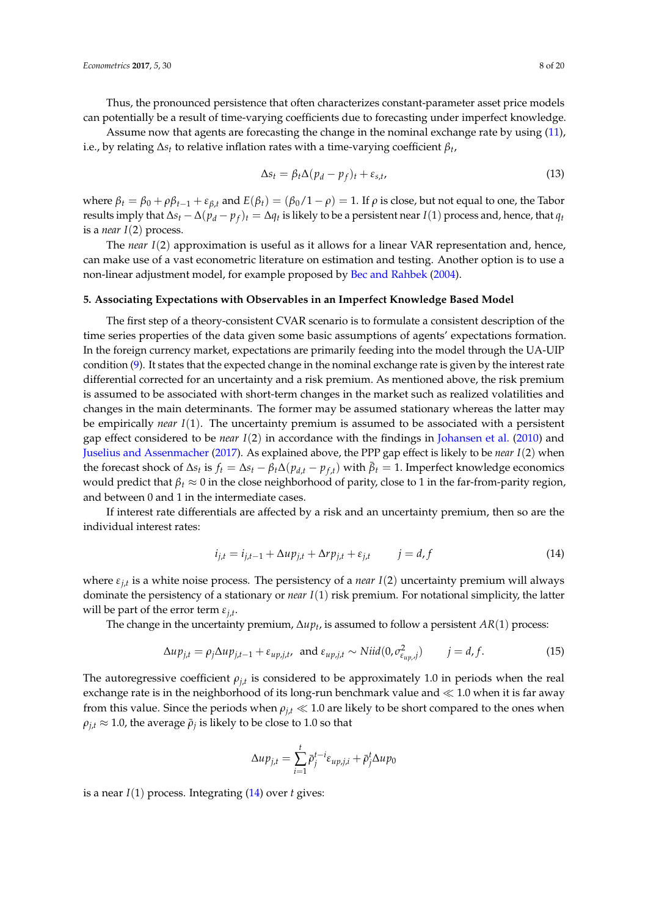Thus, the pronounced persistence that often characterizes constant-parameter asset price models can potentially be a result of time-varying coefficients due to forecasting under imperfect knowledge.

Assume now that agents are forecasting the change in the nominal exchange rate by using [\(11\)](#page-6-1), i.e., by relating ∆*s<sup>t</sup>* to relative inflation rates with a time-varying coefficient *β<sup>t</sup>* ,

$$
\Delta s_t = \beta_t \Delta (p_d - p_f)_t + \varepsilon_{s,t}, \qquad (13)
$$

where  $\beta_t = \beta_0 + \rho \beta_{t-1} + \varepsilon_{\beta,t}$  and  $E(\beta_t) = (\beta_0/1 - \rho) = 1$ . If  $\rho$  is close, but not equal to one, the Tabor *results imply that*  $\Delta s_t - \Delta (p_d - p_f)_t = \Delta q_t$  *is likely to be a persistent near I*(1) process and, hence, that *q*<sup>*t*</sup> is a *near I*(2) process.

The *near I*(2) approximation is useful as it allows for a linear VAR representation and, hence, can make use of a vast econometric literature on estimation and testing. Another option is to use a non-linear adjustment model, for example proposed by [Bec and Rahbek](#page-18-13) [\(2004\)](#page-18-13).

#### <span id="page-7-0"></span>**5. Associating Expectations with Observables in an Imperfect Knowledge Based Model**

The first step of a theory-consistent CVAR scenario is to formulate a consistent description of the time series properties of the data given some basic assumptions of agents' expectations formation. In the foreign currency market, expectations are primarily feeding into the model through the UA-UIP condition [\(9\)](#page-5-1). It states that the expected change in the nominal exchange rate is given by the interest rate differential corrected for an uncertainty and a risk premium. As mentioned above, the risk premium is assumed to be associated with short-term changes in the market such as realized volatilities and changes in the main determinants. The former may be assumed stationary whereas the latter may be empirically *near I*(1). The uncertainty premium is assumed to be associated with a persistent gap effect considered to be *near I*(2) in accordance with the findings in [Johansen et al.](#page-18-14) [\(2010\)](#page-18-14) and [Juselius and Assenmacher](#page-19-13) [\(2017\)](#page-19-13). As explained above, the PPP gap effect is likely to be *near I*(2) when the forecast shock of  $\Delta s_t$  is  $f_t = \Delta s_t - \beta_t \Delta (p_{d,t} - p_{f,t})$  with  $\bar{\beta}_t = 1$ . Imperfect knowledge economics would predict that  $\beta_t \approx 0$  in the close neighborhood of parity, close to 1 in the far-from-parity region, and between 0 and 1 in the intermediate cases.

If interest rate differentials are affected by a risk and an uncertainty premium, then so are the individual interest rates:

<span id="page-7-1"></span>
$$
i_{j,t} = i_{j,t-1} + \Delta u p_{j,t} + \Delta r p_{j,t} + \varepsilon_{j,t} \qquad j = d, f \qquad (14)
$$

where *εj*,*<sup>t</sup>* is a white noise process. The persistency of a *near I*(2) uncertainty premium will always dominate the persistency of a stationary or *near I*(1) risk premium. For notational simplicity, the latter will be part of the error term  $\varepsilon_{j,t}$ .

The change in the uncertainty premium, ∆*up<sup>t</sup>* , is assumed to follow a persistent *AR*(1) process:

<span id="page-7-2"></span>
$$
\Delta u p_{j,t} = \rho_j \Delta u p_{j,t-1} + \varepsilon_{up,j,t}, \text{ and } \varepsilon_{up,j,t} \sim Nii d(0, \sigma_{\varepsilon_{up,j}}^2) \qquad j = d, f. \tag{15}
$$

The autoregressive coefficient *ρj*,*<sup>t</sup>* is considered to be approximately 1.0 in periods when the real exchange rate is in the neighborhood of its long-run benchmark value and  $\ll 1.0$  when it is far away from this value. Since the periods when  $\rho_{it} \ll 1.0$  are likely to be short compared to the ones when  $\rho_{j,t} \approx 1.0$ , the average  $\bar{\rho}_j$  is likely to be close to  $1.0$  so that

$$
\Delta u p_{j,t} = \sum_{i=1}^t \bar{\rho}_j^{t-i} \varepsilon_{up,j,i} + \bar{\rho}_j^t \Delta u p_0
$$

is a near *I*(1) process. Integrating [\(14\)](#page-7-1) over *t* gives: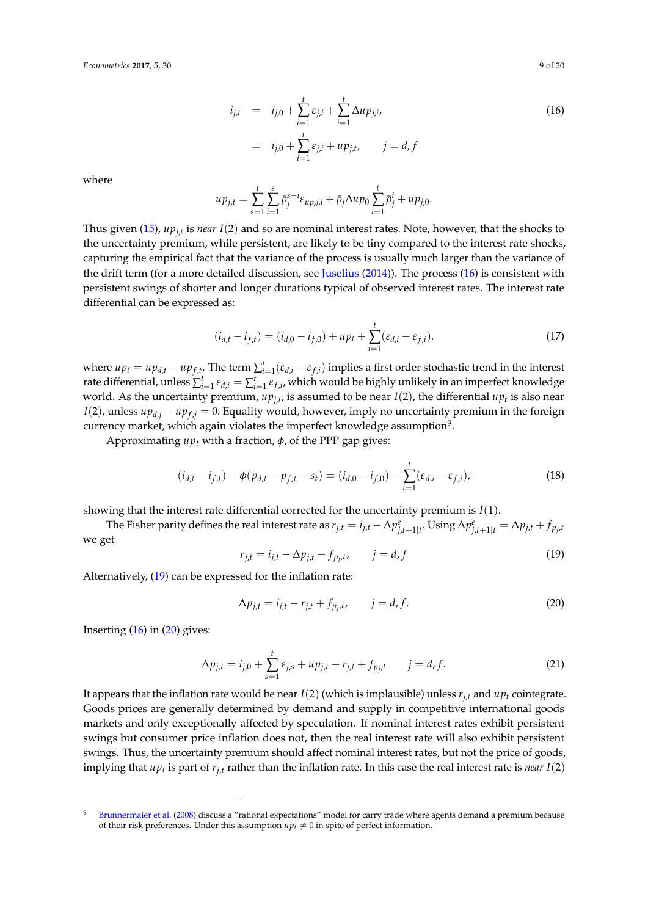<span id="page-8-0"></span>
$$
i_{j,t} = i_{j,0} + \sum_{i=1}^{t} \varepsilon_{j,i} + \sum_{i=1}^{t} \Delta u p_{j,i},
$$
  
=  $i_{j,0} + \sum_{i=1}^{t} \varepsilon_{j,i} + u p_{j,t}, \qquad j = d, f$  (16)

where

$$
u p_{j,t} = \sum_{s=1}^t \sum_{i=1}^s \bar{p}_j^{s-i} \varepsilon_{up,j,i} + \bar{p}_j \Delta u p_0 \sum_{i=1}^t \bar{p}_j^i + u p_{j,0}.
$$

Thus given [\(15\)](#page-7-2), *upj*,*<sup>t</sup>* is *near I*(2) and so are nominal interest rates. Note, however, that the shocks to the uncertainty premium, while persistent, are likely to be tiny compared to the interest rate shocks, capturing the empirical fact that the variance of the process is usually much larger than the variance of the drift term (for a more detailed discussion, see [Juselius](#page-19-7) [\(2014\)](#page-19-7)). The process [\(16\)](#page-8-0) is consistent with persistent swings of shorter and longer durations typical of observed interest rates. The interest rate differential can be expressed as:

<span id="page-8-4"></span>
$$
(i_{d,t} - i_{f,t}) = (i_{d,0} - i_{f,0}) + up_t + \sum_{i=1}^t (\varepsilon_{d,i} - \varepsilon_{f,i}).
$$
\n(17)

where  $up_t = up_{d,t} - up_{f,t}$ . The term  $\sum_{i=1}^t (\varepsilon_{d,i} - \varepsilon_{f,i})$  implies a first order stochastic trend in the interest rate differential, unless  $\sum_{i=1}^t \varepsilon_{d,i} = \sum_{i=1}^t \varepsilon_{f,i}$ , which would be highly unlikely in an imperfect knowledge world. As the uncertainty premium,  $up_{j,t}$ , is assumed to be near  $I(2)$ , the differential  $up_t$  is also near *I*(2), unless  $up_{d,i} - up_{f,i} = 0$ . Equality would, however, imply no uncertainty premium in the foreign currency market, which again violates the imperfect knowledge assumption $^9$ .

Approximating *up<sup>t</sup>* with a fraction, *φ*, of the PPP gap gives:

<span id="page-8-5"></span>
$$
(i_{d,t} - i_{f,t}) - \phi(p_{d,t} - p_{f,t} - s_t) = (i_{d,0} - i_{f,0}) + \sum_{i=1}^t (\varepsilon_{d,i} - \varepsilon_{f,i}),
$$
\n(18)

showing that the interest rate differential corrected for the uncertainty premium is *I*(1).

The Fisher parity defines the real interest rate as  $r_{j,t}=i_{j,t}-\Delta p_{j,t+1|t}^e$ . Using  $\Delta p_{j,t+1|t}^e=\Delta p_{j,t}+f_{p_j,t}$ we get

<span id="page-8-1"></span>
$$
r_{j,t} = i_{j,t} - \Delta p_{j,t} - f_{p_j,t}, \qquad j = d, f \tag{19}
$$

Alternatively, [\(19\)](#page-8-1) can be expressed for the inflation rate:

<span id="page-8-2"></span>
$$
\Delta p_{j,t} = i_{j,t} - r_{j,t} + f_{p_j,t}, \qquad j = d, f. \tag{20}
$$

Inserting  $(16)$  in  $(20)$  gives:

<span id="page-8-3"></span>
$$
\Delta p_{j,t} = i_{j,0} + \sum_{s=1}^{t} \varepsilon_{j,s} + u p_{j,t} - r_{j,t} + f_{p_j,t} \qquad j = d, f.
$$
 (21)

It appears that the inflation rate would be near  $I(2)$  (which is implausible) unless  $r_{j,t}$  and  $u p_t$  cointegrate. Goods prices are generally determined by demand and supply in competitive international goods markets and only exceptionally affected by speculation. If nominal interest rates exhibit persistent swings but consumer price inflation does not, then the real interest rate will also exhibit persistent swings. Thus, the uncertainty premium should affect nominal interest rates, but not the price of goods, implying that  $up_t$  is part of  $r_{j,t}$  rather than the inflation rate. In this case the real interest rate is *near*  $I(2)$ 

<sup>&</sup>lt;sup>9</sup> [Brunnermaier et al.](#page-18-15) [\(2008\)](#page-18-15) discuss a "rational expectations" model for carry trade where agents demand a premium because of their risk preferences. Under this assumption  $u p_t \neq 0$  in spite of perfect information.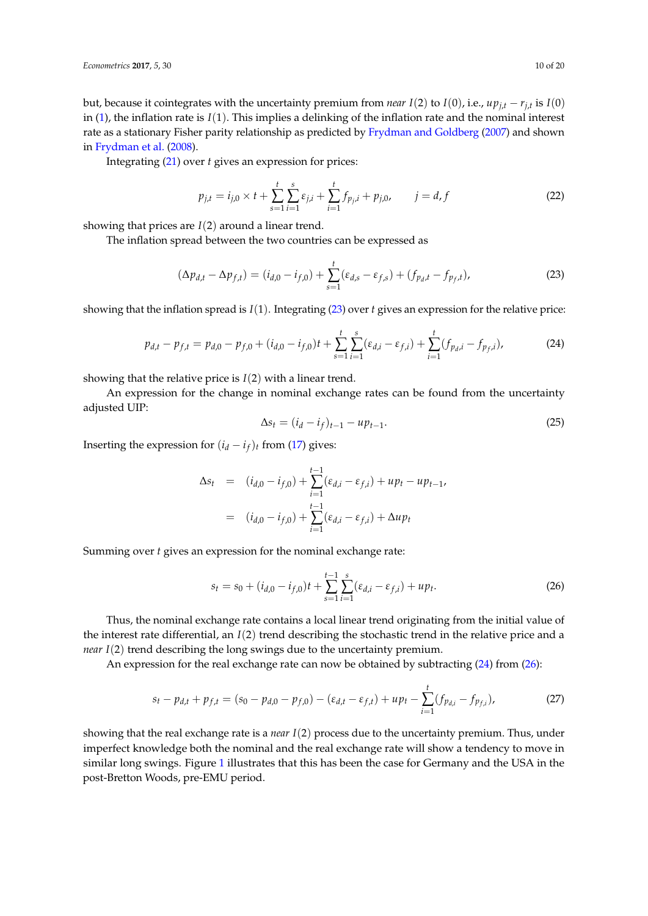but, because it cointegrates with the uncertainty premium from *near I*(2) to *I*(0), i.e., *upj*,*<sup>t</sup>* − *rj*,*<sup>t</sup>* is *I*(0) in [\(1\)](#page-2-2), the inflation rate is *I*(1). This implies a delinking of the inflation rate and the nominal interest rate as a stationary Fisher parity relationship as predicted by [Frydman and Goldberg](#page-18-1) [\(2007\)](#page-18-1) and shown in [Frydman et al.](#page-18-3) [\(2008\)](#page-18-3).

Integrating [\(21\)](#page-8-3) over *t* gives an expression for prices:

<span id="page-9-3"></span>
$$
p_{j,t} = i_{j,0} \times t + \sum_{s=1}^{t} \sum_{i=1}^{s} \varepsilon_{j,i} + \sum_{i=1}^{t} f_{p_j,i} + p_{j,0}, \qquad j = d, f
$$
 (22)

showing that prices are *I*(2) around a linear trend.

The inflation spread between the two countries can be expressed as

<span id="page-9-0"></span>
$$
(\Delta p_{d,t} - \Delta p_{f,t}) = (i_{d,0} - i_{f,0}) + \sum_{s=1}^{t} (\varepsilon_{d,s} - \varepsilon_{f,s}) + (f_{p_d,t} - f_{p_f,t}),
$$
\n(23)

showing that the inflation spread is *I*(1). Integrating [\(23\)](#page-9-0) over *t* gives an expression for the relative price:

<span id="page-9-1"></span>
$$
p_{d,t} - p_{f,t} = p_{d,0} - p_{f,0} + (i_{d,0} - i_{f,0})t + \sum_{s=1}^{t} \sum_{i=1}^{s} (\varepsilon_{d,i} - \varepsilon_{f,i}) + \sum_{i=1}^{t} (f_{p_{d},i} - f_{p_{f},i}),
$$
(24)

showing that the relative price is *I*(2) with a linear trend.

An expression for the change in nominal exchange rates can be found from the uncertainty adjusted UIP:

$$
\Delta s_t = (i_d - i_f)_{t-1} - u p_{t-1}.
$$
\n(25)

Inserting the expression for  $(i_d - i_f)_t$  from [\(17\)](#page-8-4) gives:

$$
\Delta s_t = (i_{d,0} - i_{f,0}) + \sum_{i=1}^{t-1} (\varepsilon_{d,i} - \varepsilon_{f,i}) + up_t - up_{t-1},
$$
  

$$
= (i_{d,0} - i_{f,0}) + \sum_{i=1}^{t-1} (\varepsilon_{d,i} - \varepsilon_{f,i}) + \Delta up_t
$$

Summing over *t* gives an expression for the nominal exchange rate:

<span id="page-9-2"></span>
$$
s_t = s_0 + (i_{d,0} - i_{f,0})t + \sum_{s=1}^{t-1} \sum_{i=1}^s (\varepsilon_{d,i} - \varepsilon_{f,i}) + up_t.
$$
 (26)

Thus, the nominal exchange rate contains a local linear trend originating from the initial value of the interest rate differential, an *I*(2) trend describing the stochastic trend in the relative price and a *near I*(2) trend describing the long swings due to the uncertainty premium.

An expression for the real exchange rate can now be obtained by subtracting [\(24\)](#page-9-1) from [\(26\)](#page-9-2):

<span id="page-9-4"></span>
$$
s_t - p_{d,t} + p_{f,t} = (s_0 - p_{d,0} - p_{f,0}) - (\varepsilon_{d,t} - \varepsilon_{f,t}) + up_t - \sum_{i=1}^t (f_{p_{d,i}} - f_{p_{f,i}}),
$$
(27)

showing that the real exchange rate is a *near I*(2) process due to the uncertainty premium. Thus, under imperfect knowledge both the nominal and the real exchange rate will show a tendency to move in similar long swings. Figure [1](#page-1-0) illustrates that this has been the case for Germany and the USA in the post-Bretton Woods, pre-EMU period.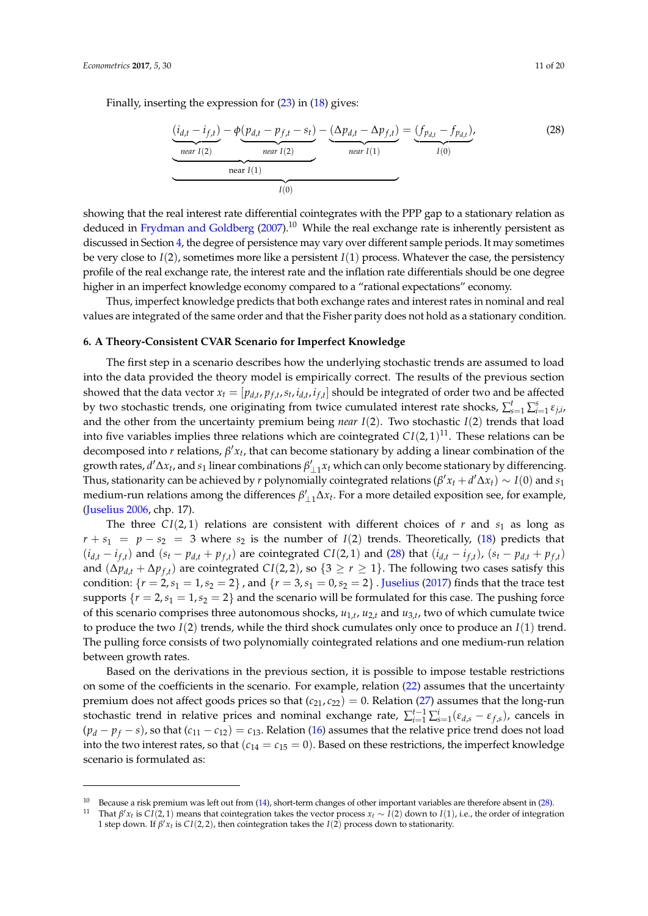Finally, inserting the expression for [\(23\)](#page-9-0) in [\(18\)](#page-8-5) gives:

<span id="page-10-1"></span>
$$
\underbrace{\frac{(i_{d,t} - i_{f,t})}{near \, I(2)} - \phi(p_{d,t} - p_{f,t} - s_t)}_{near \, I(2)} - \underbrace{\frac{(\Delta p_{d,t} - \Delta p_{f,t})}{near \, I(1)}}_{near \, I(1)} = \underbrace{\frac{(f_{p_{d,t}} - f_{p_{d,t}})}{I(0)}}_{I(0)},
$$
\n(28)

showing that the real interest rate differential cointegrates with the PPP gap to a stationary relation as deduced in [Frydman and Goldberg](#page-18-1)  $(2007)$ .<sup>10</sup> While the real exchange rate is inherently persistent as discussed in Section [4,](#page-6-0) the degree of persistence may vary over different sample periods. It may sometimes be very close to  $I(2)$ , sometimes more like a persistent  $I(1)$  process. Whatever the case, the persistency profile of the real exchange rate, the interest rate and the inflation rate differentials should be one degree higher in an imperfect knowledge economy compared to a "rational expectations" economy.

Thus, imperfect knowledge predicts that both exchange rates and interest rates in nominal and real values are integrated of the same order and that the Fisher parity does not hold as a stationary condition.

## <span id="page-10-0"></span>**6. A Theory-Consistent CVAR Scenario for Imperfect Knowledge**

The first step in a scenario describes how the underlying stochastic trends are assumed to load into the data provided the theory model is empirically correct. The results of the previous section showed that the data vector  $x_t = [p_{d,t}, p_{f,t}, s_t, i_{d,t}, i_{f,t}]$  should be integrated of order two and be affected by two stochastic trends, one originating from twice cumulated interest rate shocks,  $\sum_{s=1}^{t} \sum_{i=1}^{s} \varepsilon_{j,i}$ and the other from the uncertainty premium being *near I*(2). Two stochastic *I*(2) trends that load into five variables implies three relations which are cointegrated  $CI(2,1)^{11}$ . These relations can be decomposed into  $r$  relations,  $\beta' x_t$ , that can become stationary by adding a linear combination of the growth rates,  $d' \Delta x_t$ , and  $s_1$  linear combinations  $\beta'_{\perp 1} x_t$  which can only become stationary by differencing. Thus, stationarity can be achieved by  $r$  polynomially cointegrated relations  $(\beta' x_t + d' \Delta x_t) \sim I(0)$  and  $s_1$ medium-run relations among the differences  $\beta'_{\perp 1} \Delta x_t$ . For a more detailed exposition see, for example, [\(Juselius](#page-18-7) [2006,](#page-18-7) chp. 17).

The three  $CI(2, 1)$  relations are consistent with different choices of *r* and  $s<sub>1</sub>$  as long as  $r + s_1 = p - s_2 = 3$  where  $s_2$  is the number of *I*(2) trends. Theoretically, [\(18\)](#page-8-5) predicts that  $(i_{d,t} - i_{f,t})$  and  $(s_t - p_{d,t} + p_{f,t})$  are cointegrated  $CI(2,1)$  and [\(28\)](#page-10-1) that  $(i_{d,t} - i_{f,t})$ ,  $(s_t - p_{d,t} + p_{f,t})$ and  $(\Delta p_{d,t} + \Delta p_{f,t})$  are cointegrated  $CI(2, 2)$ , so  $\{3 \ge r \ge 1\}$ . The following two cases satisfy this condition:  $\{r = 2, s_1 = 1, s_2 = 2\}$ , and  $\{r = 3, s_1 = 0, s_2 = 2\}$ . [Juselius](#page-19-6) [\(2017\)](#page-19-6) finds that the trace test supports  $\{r = 2, s_1 = 1, s_2 = 2\}$  and the scenario will be formulated for this case. The pushing force of this scenario comprises three autonomous shocks,  $u_{1,t}$ ,  $u_{2,t}$  and  $u_{3,t}$ , two of which cumulate twice to produce the two *I*(2) trends, while the third shock cumulates only once to produce an *I*(1) trend. The pulling force consists of two polynomially cointegrated relations and one medium-run relation between growth rates.

Based on the derivations in the previous section, it is possible to impose testable restrictions on some of the coefficients in the scenario. For example, relation [\(22\)](#page-9-3) assumes that the uncertainty premium does not affect goods prices so that  $(c_{21}, c_{22}) = 0$ . Relation [\(27\)](#page-9-4) assumes that the long-run stochastic trend in relative prices and nominal exchange rate,  $\sum_{i=1}^{t-1}\sum_{s=1}^{i}(\varepsilon_{d,s}-\varepsilon_{f,s})$ , cancels in  $(p_d - p_f - s)$ , so that  $(c_{11} - c_{12}) = c_{13}$ . Relation [\(16\)](#page-8-0) assumes that the relative price trend does not load into the two interest rates, so that  $(c_{14} = c_{15} = 0)$ . Based on these restrictions, the imperfect knowledge scenario is formulated as:

<sup>&</sup>lt;sup>10</sup> Because a risk premium was left out from  $(14)$ , short-term changes of other important variables are therefore absent in  $(28)$ .

<sup>&</sup>lt;sup>11</sup> That  $\beta'$ *x<sub>t</sub>* is *CI*(2, 1) means that cointegration takes the vector process *x<sub>t</sub>* ∼ *I*(2) down to *I*(1), i.e., the order of integration 1 step down. If  $\beta' x_t$  is  $CI(2,2)$ , then cointegration takes the  $I(2)$  process down to stationarity.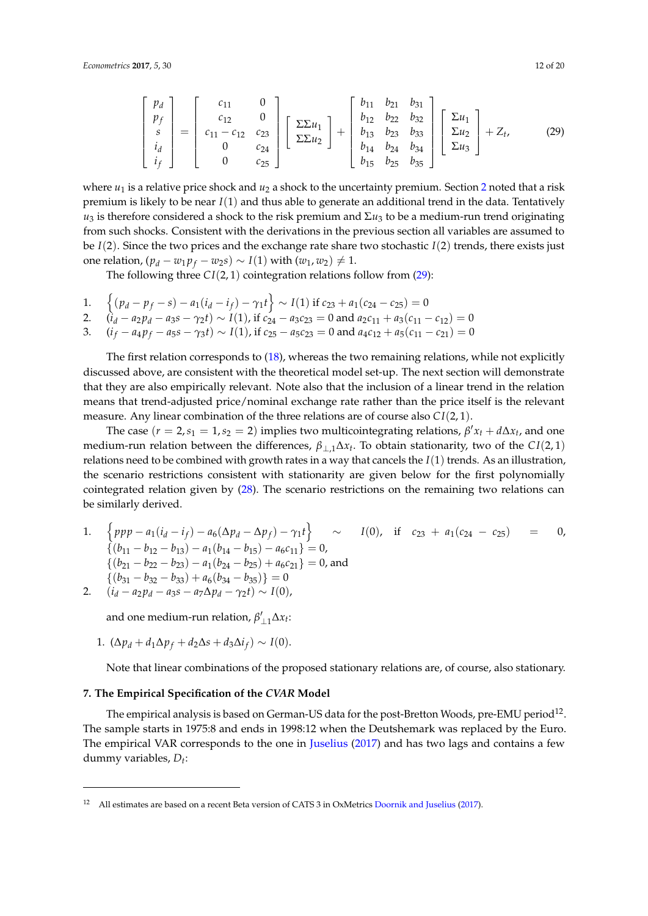<span id="page-11-1"></span>
$$
\begin{bmatrix} p_d \\ p_f \\ s \\ i_d \\ i_f \end{bmatrix} = \begin{bmatrix} c_{11} & 0 \\ c_{12} & 0 \\ c_{11} - c_{12} & c_{23} \\ 0 & c_{24} \\ 0 & c_{25} \end{bmatrix} \begin{bmatrix} \Sigma \Sigma u_1 \\ \Sigma \Sigma u_2 \end{bmatrix} + \begin{bmatrix} b_{11} & b_{21} & b_{31} \\ b_{12} & b_{22} & b_{32} \\ b_{13} & b_{23} & b_{33} \\ b_{14} & b_{24} & b_{34} \\ b_{15} & b_{25} & b_{35} \end{bmatrix} \begin{bmatrix} \Sigma u_1 \\ \Sigma u_2 \\ \Sigma u_3 \end{bmatrix} + Z_t, \quad (29)
$$

where  $u_1$  is a relative price shock and  $u_2$  $u_2$  a shock to the uncertainty premium. Section 2 noted that a risk premium is likely to be near *I*(1) and thus able to generate an additional trend in the data. Tentatively  $u_3$  is therefore considered a shock to the risk premium and Σ $u_3$  to be a medium-run trend originating from such shocks. Consistent with the derivations in the previous section all variables are assumed to be  $I(2)$ . Since the two prices and the exchange rate share two stochastic  $I(2)$  trends, there exists just one relation,  $(p_d - w_1 p_f - w_2 s)$  ∼  $I(1)$  with  $(w_1, w_2) \neq 1$ .

The following three  $CI(2, 1)$  cointegration relations follow from  $(29)$ :

- 1.  $\left\{ (p_d p_f s) a_1(i_d i_f) \gamma_1 t \right\} \sim I(1)$  if  $c_{23} + a_1(c_{24} c_{25}) = 0$ 2.  $(i_d - a_2 p_d - a_3 s - \gamma_2 t) \sim I(1)$ , if  $c_{24} - a_3 c_{23} = 0$  and  $a_2 c_{11} + a_3 (c_{11} - c_{12}) = 0$
- 3.  $(i_f a_4 p_f a_5 s \gamma_3 t) \sim I(1)$ , if  $c_{25} a_5 c_{23} = 0$  and  $a_4 c_{12} + a_5 (c_{11} c_{21}) = 0$

The first relation corresponds to [\(18\)](#page-8-5), whereas the two remaining relations, while not explicitly discussed above, are consistent with the theoretical model set-up. The next section will demonstrate that they are also empirically relevant. Note also that the inclusion of a linear trend in the relation means that trend-adjusted price/nominal exchange rate rather than the price itself is the relevant measure. Any linear combination of the three relations are of course also *C I*(2, 1).

The case  $(r = 2, s_1 = 1, s_2 = 2)$  implies two multicointegrating relations,  $\beta' x_t + d\Delta x_t$ , and one medium-run relation between the differences, *β*⊥,1∆*x<sup>t</sup>* . To obtain stationarity, two of the *C I*(2, 1) relations need to be combined with growth rates in a way that cancels the *I*(1) trends. As an illustration, the scenario restrictions consistent with stationarity are given below for the first polynomially cointegrated relation given by [\(28\)](#page-10-1). The scenario restrictions on the remaining two relations can be similarly derived.

1.  $\left\{ ppp - a_1(i_d - i_f) - a_6(\Delta p_d - \Delta p_f) - \gamma_1 t \right\} \sim I(0)$ , if  $c_{23} + a_1(c_{24} - c_{25}) = 0$ ,  $\{(b_{11} - b_{12} - b_{13}) - a_1(b_{14} - b_{15}) - a_6c_{11}\} = 0,$  ${(b_{21} - b_{22} - b_{23}) - a_1(b_{24} - b_{25}) + a_6c_{21}} = 0$ , and  $\{(b_{31}-b_{32}-b_{33})+a_6(b_{34}-b_{35})\}=0$ 

2.  $(i_d - a_2 p_d - a_3 s - a_7 \Delta p_d - \gamma_2 t) \sim I(0),$ 

and one medium-run relation,  $\beta'_{\perp 1} \Delta x_t$ :

1. 
$$
(\Delta p_d + d_1 \Delta p_f + d_2 \Delta s + d_3 \Delta i_f) \sim I(0).
$$

Note that linear combinations of the proposed stationary relations are, of course, also stationary.

## <span id="page-11-0"></span>**7. The Empirical Specification of the** *CVAR* **Model**

The empirical analysis is based on German-US data for the post-Bretton Woods, pre-EMU period $^{12}$ . The sample starts in 1975:8 and ends in 1998:12 when the Deutshemark was replaced by the Euro. The empirical VAR corresponds to the one in [Juselius](#page-19-6) [\(2017\)](#page-19-6) and has two lags and contains a few dummy variables, *D<sup>t</sup>* :

<sup>12</sup> All estimates are based on a recent Beta version of CATS 3 in OxMetrics [Doornik and Juselius](#page-18-16) [\(2017\)](#page-18-16).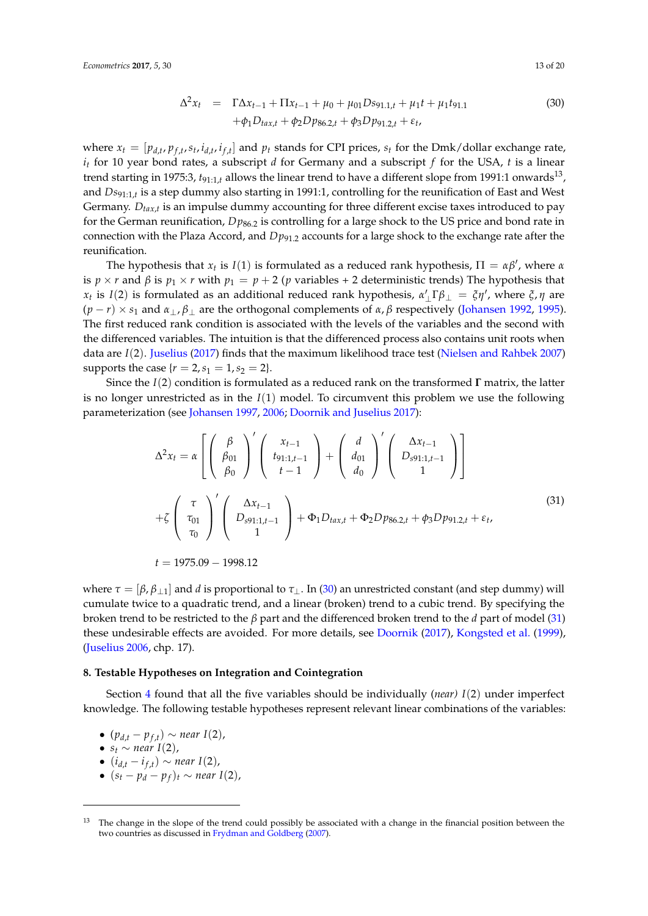<span id="page-12-1"></span>
$$
\Delta^{2} x_{t} = \Gamma \Delta x_{t-1} + \Pi x_{t-1} + \mu_{0} + \mu_{01} D s_{91.1,t} + \mu_{1} t + \mu_{1} t_{91.1}
$$
\n
$$
+ \phi_{1} D_{tax,t} + \phi_{2} D p_{86.2,t} + \phi_{3} D p_{91.2,t} + \varepsilon_{t},
$$
\n(30)

where  $x_t = [p_{d,t}, p_{f,t}, s_t, i_{d,t}, i_{f,t}]$  and  $p_t$  stands for CPI prices,  $s_t$  for the Dmk/dollar exchange rate, *i<sup>t</sup>* for 10 year bond rates, a subscript *d* for Germany and a subscript *f* for the USA, *t* is a linear trend starting in 1975:3,  $t_{91:1,t}$  allows the linear trend to have a different slope from 1991:1 onwards<sup>13</sup>, and *Ds*91:1,*<sup>t</sup>* is a step dummy also starting in 1991:1, controlling for the reunification of East and West Germany. *Dtax*,*<sup>t</sup>* is an impulse dummy accounting for three different excise taxes introduced to pay for the German reunification, *D* $p_{86.2}$  is controlling for a large shock to the US price and bond rate in connection with the Plaza Accord, and *Dp*91.2 accounts for a large shock to the exchange rate after the reunification.

The hypothesis that  $x_t$  is  $I(1)$  is formulated as a reduced rank hypothesis,  $\Pi = \alpha \beta'$ , where  $\alpha$ is  $p \times r$  and  $\beta$  is  $p_1 \times r$  with  $p_1 = p + 2$  (*p* variables + 2 deterministic trends) The hypothesis that *x*<sub>*t*</sub> is *I*(2) is formulated as an additional reduced rank hypothesis,  $α'_{\perp}$  Γ $β_{\perp} = ξη'$ , where  $ξ, η$  are  $(p - r) \times s_1$  and  $\alpha_\perp, \beta_\perp$  are the orthogonal complements of  $\alpha, \beta$  respectively [\(Johansen](#page-18-17) [1992,](#page-18-17) [1995\)](#page-18-18). The first reduced rank condition is associated with the levels of the variables and the second with the differenced variables. The intuition is that the differenced process also contains unit roots when data are *I*(2). [Juselius](#page-19-6) [\(2017\)](#page-19-6) finds that the maximum likelihood trace test [\(Nielsen and Rahbek](#page-19-14) [2007\)](#page-19-14) supports the case  $\{r = 2, s_1 = 1, s_2 = 2\}.$ 

Since the *I*(2) condition is formulated as a reduced rank on the transformed **Γ** matrix, the latter is no longer unrestricted as in the *I*(1) model. To circumvent this problem we use the following parameterization (see [Johansen](#page-18-19) [1997,](#page-18-19) [2006;](#page-18-20) [Doornik and Juselius](#page-18-16) [2017\)](#page-18-16):

<span id="page-12-2"></span>
$$
\Delta^{2}x_{t} = \alpha \left[ \begin{pmatrix} \beta \\ \beta_{01} \\ \beta_{0} \end{pmatrix}^{'} \begin{pmatrix} x_{t-1} \\ t_{91:1,t-1} \\ t-1 \end{pmatrix} + \begin{pmatrix} d \\ d_{01} \\ d_0 \end{pmatrix}^{'} \begin{pmatrix} \Delta x_{t-1} \\ D_{s91:1,t-1} \\ 1 \end{pmatrix} \right]
$$
  
+ $\zeta \left( \begin{pmatrix} \tau \\ \tau_{01} \\ \tau_{0} \end{pmatrix}^{'} \begin{pmatrix} \Delta x_{t-1} \\ D_{s91:1,t-1} \\ 1 \end{pmatrix} + \Phi_{1}D_{tax,t} + \Phi_{2}D_{ps6.2,t} + \phi_{3}D_{p91.2,t} + \varepsilon_{t},$   
 $t = 1975.09 - 1998.12$  (31)

where  $\tau = [\beta, \beta_{\perp 1}]$  and *d* is proportional to  $\tau_{\perp}$ . In [\(30\)](#page-12-1) an unrestricted constant (and step dummy) will cumulate twice to a quadratic trend, and a linear (broken) trend to a cubic trend. By specifying the broken trend to be restricted to the *β* part and the differenced broken trend to the *d* part of model [\(31\)](#page-12-2) these undesirable effects are avoided. For more details, see [Doornik](#page-18-21) [\(2017\)](#page-18-21), [Kongsted et al.](#page-19-15) [\(1999\)](#page-19-15), [\(Juselius](#page-18-7) [2006,](#page-18-7) chp. 17).

#### <span id="page-12-0"></span>**8. Testable Hypotheses on Integration and Cointegration**

Section [4](#page-6-0) found that all the five variables should be individually (*near) I*(2) under imperfect knowledge. The following testable hypotheses represent relevant linear combinations of the variables:

•  $(p_{d,t} - p_{f,t}) \sim$  *near*  $I(2)$ ,

• 
$$
s_t \sim
$$
 near  $I(2)$ ,

- $\bullet$  (*i*<sub>*d*,*t*</sub> − *i*<sub>*f*,*t*</sub>) ∼ *near I*(2),
- (*s<sup>t</sup>* − *p<sup>d</sup>* − *p<sup>f</sup>* )*<sup>t</sup>* ∼ *near I*(2),

The change in the slope of the trend could possibly be associated with a change in the financial position between the two countries as discussed in [Frydman and Goldberg](#page-18-1) [\(2007\)](#page-18-1).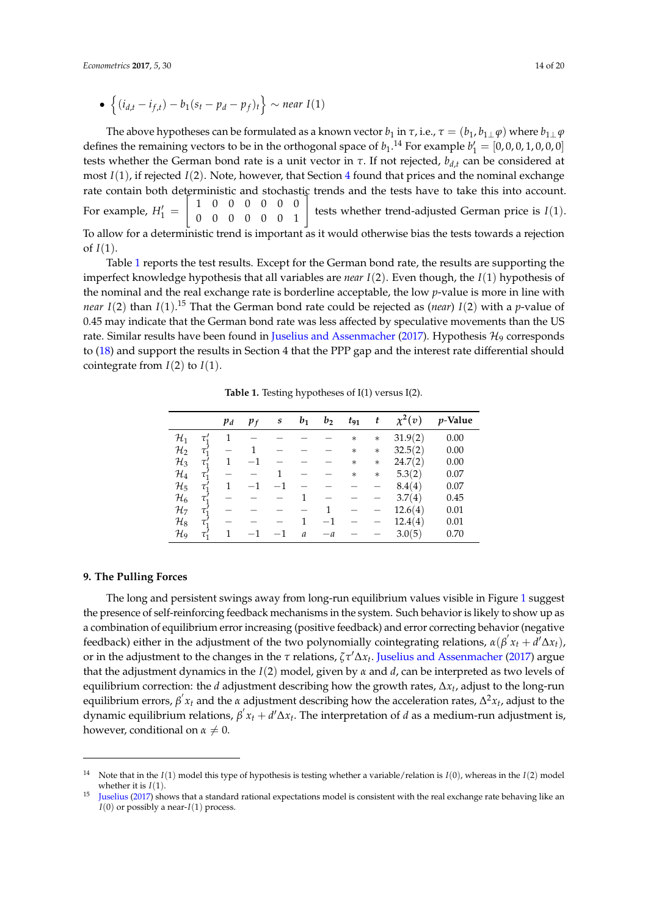The above hypotheses can be formulated as a known vector  $b_1$  in  $\tau$ , i.e.,  $\tau = (b_1, b_1 \bot \varphi)$  where  $b_1 \bot \varphi$ defines the remaining vectors to be in the orthogonal space of  $b_1$ .<sup>14</sup> For example  $b'_1 = [0, 0, 0, 1, 0, 0, 0]$ tests whether the German bond rate is a unit vector in  $\tau$ . If not rejected,  $b_{d,t}$  can be considered at most *I*(1), if rejected *I*(2). Note, however, that Section [4](#page-6-0) found that prices and the nominal exchange rate contain both deterministic and stochastic trends and the tests have to take this into account. For example,  $H_1' =$  $\sqrt{ }$ 1 0 0 0 0 0 0 0 0 0 0 0 0 1 # tests whether trend-adjusted German price is *I*(1). To allow for a deterministic trend is important as it would otherwise bias the tests towards a rejection of  $I(1)$ .

Table [1](#page-13-1) reports the test results. Except for the German bond rate, the results are supporting the imperfect knowledge hypothesis that all variables are *near I*(2). Even though, the *I*(1) hypothesis of the nominal and the real exchange rate is borderline acceptable, the low *p*-value is more in line with *near I*(2) than *I*(1). <sup>15</sup> That the German bond rate could be rejected as (*near*) *I*(2) with a *p*-value of 0.45 may indicate that the German bond rate was less affected by speculative movements than the US rate. Similar results have been found in [Juselius and Assenmacher](#page-19-13) [\(2017\)](#page-19-13). Hypothesis  $\mathcal{H}_9$  corresponds to [\(18\)](#page-8-5) and support the results in Section 4 that the PPP gap and the interest rate differential should cointegrate from  $I(2)$  to  $I(1)$ .

<span id="page-13-1"></span>

|                 |            | $p_d$ | $p_f$ | S | $b_1$         | b <sub>2</sub> | $t_{91}$ | t      | $\chi^2(v)$ | $p$ -Value |
|-----------------|------------|-------|-------|---|---------------|----------------|----------|--------|-------------|------------|
| $\mathcal{H}_1$ |            | 1     |       |   |               |                | $\ast$   | $\ast$ | 31.9(2)     | 0.00       |
| $\mathcal{H}_2$ | $\tau_{1}$ |       | 1     |   |               |                | $\ast$   | $\ast$ | 32.5(2)     | 0.00       |
| $\mathcal{H}_3$ | $\tau_1'$  | 1     |       |   |               |                | $\ast$   | $\ast$ | 24.7(2)     | 0.00       |
| $\mathcal{H}_4$ | $\tau_1'$  |       |       |   |               |                | $\ast$   | $\ast$ | 5.3(2)      | 0.07       |
| $\mathcal{H}_5$ | τ,         | 1     |       |   |               |                |          |        | 8.4(4)      | 0.07       |
| $\mathcal{H}_6$ | $\tau_{1}$ |       |       |   |               |                |          |        | 3.7(4)      | 0.45       |
| $\mathcal{H}_7$ | $\tau_1'$  |       |       |   |               |                |          |        | 12.6(4)     | 0.01       |
| $\mathcal{H}_8$ | $\tau_{1}$ |       |       |   |               | $-1$           |          |        | 12.4(4)     | 0.01       |
| Hg              | τ,         |       |       |   | $\mathfrak a$ | $-a$           |          |        | 3.0(5)      | 0.70       |

**Table 1.** Testing hypotheses of I(1) versus I(2).

## <span id="page-13-0"></span>**9. The Pulling Forces**

The long and persistent swings away from long-run equilibrium values visible in Figure [1](#page-1-0) suggest the presence of self-reinforcing feedback mechanisms in the system. Such behavior is likely to show up as a combination of equilibrium error increasing (positive feedback) and error correcting behavior (negative feedback) either in the adjustment of the two polynomially cointegrating relations,  $\alpha(\beta'x_t + d'\Delta x_t)$ , or in the adjustment to the changes in the *τ* relations,  $\zeta\tau'\Delta x_t$ . [Juselius and Assenmacher](#page-19-13) [\(2017\)](#page-19-13) argue that the adjustment dynamics in the *I*(2) model, given by *α* and *d*, can be interpreted as two levels of equilibrium correction: the *d* adjustment describing how the growth rates, ∆*x<sup>t</sup>* , adjust to the long-run equilibrium errors,  $β'x_t$  and the *α* adjustment describing how the acceleration rates,  $Δ^2x_t$ , adjust to the dynamic equilibrium relations,  $\beta' x_t + d' \Delta x_t$ . The interpretation of *d* as a medium-run adjustment is, however, conditional on  $\alpha \neq 0$ .

<sup>&</sup>lt;sup>14</sup> Note that in the  $I(1)$  model this type of hypothesis is testing whether a variable/relation is  $I(0)$ , whereas in the  $I(2)$  model whether it is *I*(1).

<sup>15</sup> [Juselius](#page-19-6) [\(2017\)](#page-19-6) shows that a standard rational expectations model is consistent with the real exchange rate behaving like an  $I(0)$  or possibly a near- $I(1)$  process.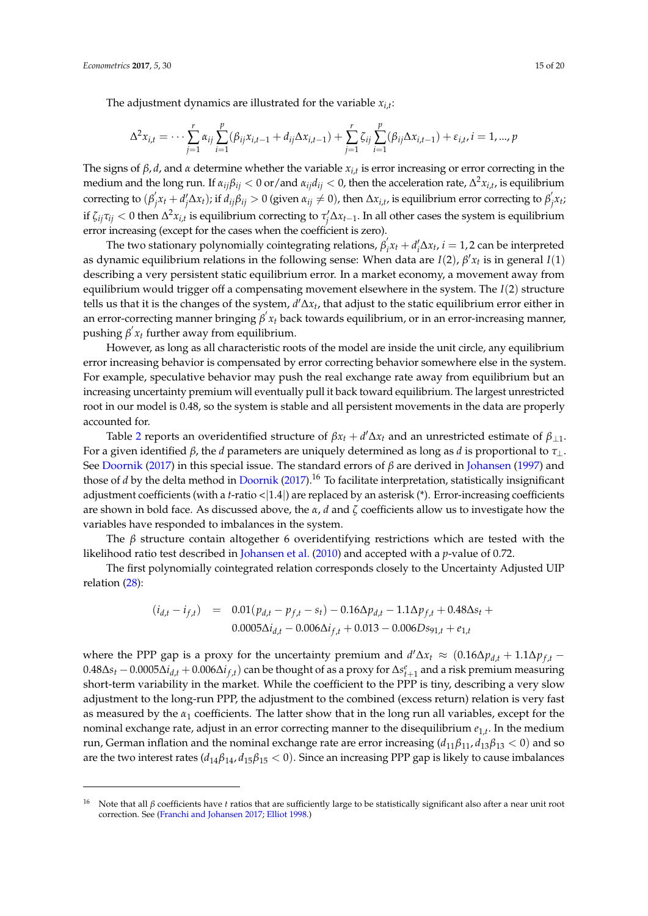$$
\Delta^2 x_{i,t} = \cdots \sum_{j=1}^r \alpha_{ij} \sum_{i=1}^p (\beta_{ij} x_{i,t-1} + d_{ij} \Delta x_{i,t-1}) + \sum_{j=1}^r \zeta_{ij} \sum_{i=1}^p (\beta_{ij} \Delta x_{i,t-1}) + \varepsilon_{i,t}, i = 1, ..., p
$$

The signs of *β*, *d*, and *α* determine whether the variable *xi*,*<sup>t</sup>* is error increasing or error correcting in the medium and the long run. If  $\alpha_{ij}\beta_{ij} < 0$  or/and  $\alpha_{ij}d_{ij} < 0$ , then the acceleration rate,  $\Delta^2x_{i,t}$ , is equilibrium correcting to (β<sup>'</sup>  $\int_{j}^{j}x_{t}+d'_{j}\Delta x_{t}$ ); if  $d_{ij}\beta_{ij}>0$  (given  $\alpha_{ij}\neq 0$ ), then  $\Delta x_{i,t}$ , is equilibrium error correcting to  $\beta_{j}^{'}$  $\int$ <sup>*x*</sup>*t* if  $\zeta_{ij}\tau_{ij} < 0$  then  $\Delta^2 x_{i,t}$  is equilibrium correcting to  $\tau'_j\Delta x_{t-1}$ . In all other cases the system is equilibrium error increasing (except for the cases when the coefficient is zero).

The two stationary polynomially cointegrating relations, *β* 0  $\int_{i}^{t} x_{t} + d_{i}^{t} \Delta x_{t}$ ,  $i = 1, 2$  can be interpreted as dynamic equilibrium relations in the following sense: When data are  $I(2)$ ,  $\beta' x_t$  is in general  $I(1)$ describing a very persistent static equilibrium error. In a market economy, a movement away from equilibrium would trigger off a compensating movement elsewhere in the system. The *I*(2) structure tells us that it is the changes of the system, *d* <sup>0</sup>∆*x<sup>t</sup>* , that adjust to the static equilibrium error either in an error-correcting manner bringing *β' x<sub>t</sub>* back towards equilibrium, or in an error-increasing manner, pushing  $\beta'$  *x*<sup>*t*</sup> further away from equilibrium.

However, as long as all characteristic roots of the model are inside the unit circle, any equilibrium error increasing behavior is compensated by error correcting behavior somewhere else in the system. For example, speculative behavior may push the real exchange rate away from equilibrium but an increasing uncertainty premium will eventually pull it back toward equilibrium. The largest unrestricted root in our model is 0.48, so the system is stable and all persistent movements in the data are properly accounted for.

Table [2](#page-16-0) reports an overidentified structure of  $\beta x_t + d' \Delta x_t$  and an unrestricted estimate of  $\beta_{\perp 1}$ . For a given identified *β*, the *d* parameters are uniquely determined as long as *d* is proportional to *τ*⊥. See [Doornik](#page-18-21) [\(2017\)](#page-18-21) in this special issue. The standard errors of *β* are derived in [Johansen](#page-18-19) [\(1997\)](#page-18-19) and those of *d* by the delta method in [Doornik](#page-18-21) [\(2017\)](#page-18-21).<sup>16</sup> To facilitate interpretation, statistically insignificant adjustment coefficients (with a *t*-ratio <|1.4|) are replaced by an asterisk (\*). Error-increasing coefficients are shown in bold face. As discussed above, the *α*, *d* and *ζ* coefficients allow us to investigate how the variables have responded to imbalances in the system.

The *β* structure contain altogether 6 overidentifying restrictions which are tested with the likelihood ratio test described in [Johansen et al.](#page-18-14) [\(2010\)](#page-18-14) and accepted with a *p*-value of 0.72.

The first polynomially cointegrated relation corresponds closely to the Uncertainty Adjusted UIP relation [\(28\)](#page-10-1):

$$
(i_{d,t} - i_{f,t}) = 0.01(p_{d,t} - p_{f,t} - s_t) - 0.16\Delta p_{d,t} - 1.1\Delta p_{f,t} + 0.48\Delta s_t + 0.0005\Delta i_{d,t} - 0.006\Delta i_{f,t} + 0.013 - 0.006Ds_{91,t} + e_{1,t}
$$

where the PPP gap is a proxy for the uncertainty premium and  $d'\Delta x_t \approx (0.16\Delta p_{d,t} + 1.1\Delta p_{f,t} - 1.1\Delta p_{f,t} + 1.1\Delta p_{f,t} - 1.1\Delta p_{f,t} + 1.1\Delta p_{f,t}$  $0.48\Delta s_t - 0.0005\Delta i_{d,t} + 0.006\Delta i_{f,t})$  can be thought of as a proxy for  $\Delta s^e_{t+1}$  and a risk premium measuring short-term variability in the market. While the coefficient to the PPP is tiny, describing a very slow adjustment to the long-run PPP, the adjustment to the combined (excess return) relation is very fast as measured by the *α*<sup>1</sup> coefficients. The latter show that in the long run all variables, except for the nominal exchange rate, adjust in an error correcting manner to the disequilibrium *e*1,*<sup>t</sup>* . In the medium run, German inflation and the nominal exchange rate are error increasing (*d*11*β*11, *d*13*β*<sup>13</sup> < 0) and so are the two interest rates ( $d_{14}\beta_{14}$ ,  $d_{15}\beta_{15}$  < 0). Since an increasing PPP gap is likely to cause imbalances

<sup>16</sup> Note that all *β* coefficients have *t* ratios that are sufficiently large to be statistically significant also after a near unit root correction. See [\(Franchi and Johansen](#page-18-12) [2017;](#page-18-12) [Elliot](#page-18-11) [1998.](#page-18-11))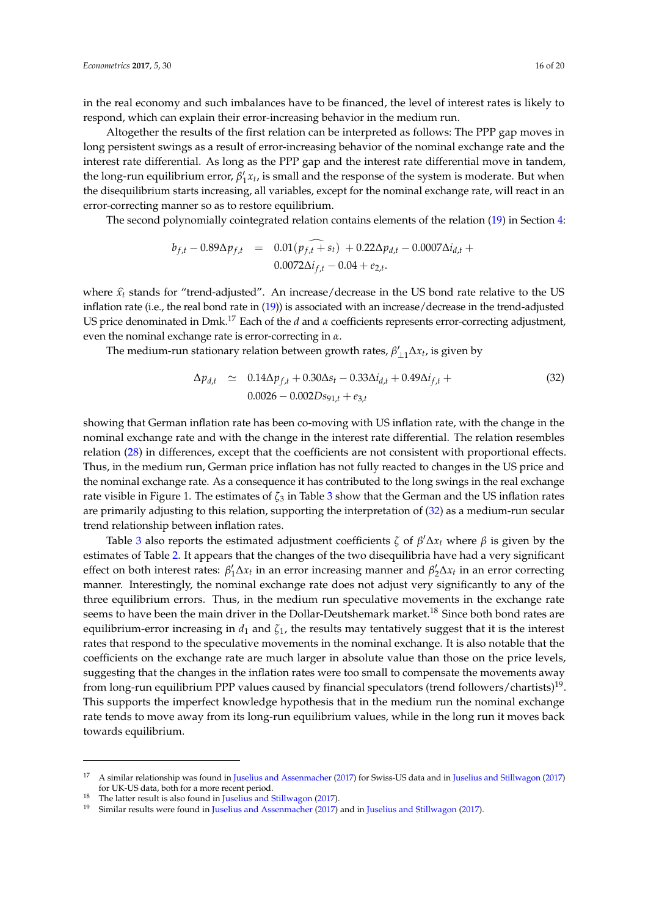in the real economy and such imbalances have to be financed, the level of interest rates is likely to respond, which can explain their error-increasing behavior in the medium run.

Altogether the results of the first relation can be interpreted as follows: The PPP gap moves in long persistent swings as a result of error-increasing behavior of the nominal exchange rate and the interest rate differential. As long as the PPP gap and the interest rate differential move in tandem, the long-run equilibrium error,  $\beta'_1 x_t$ , is small and the response of the system is moderate. But when the disequilibrium starts increasing, all variables, except for the nominal exchange rate, will react in an error-correcting manner so as to restore equilibrium.

The second polynomially cointegrated relation contains elements of the relation [\(19\)](#page-8-1) in Section [4:](#page-6-0)

$$
b_{f,t} - 0.89 \Delta p_{f,t} = 0.01(p_{f,t} + s_t) + 0.22 \Delta p_{d,t} - 0.0007 \Delta i_{d,t} + 0.0072 \Delta i_{f,t} - 0.04 + e_{2,t}.
$$

where  $\hat{x}_t$  stands for "trend-adjusted". An increase/decrease in the US bond rate relative to the US inflation rate (i.e., the real bond rate in [\(19\)](#page-8-1)) is associated with an increase/decrease in the trend-adjusted US price denominated in Dmk.<sup>17</sup> Each of the *d* and *α* coefficients represents error-correcting adjustment, even the nominal exchange rate is error-correcting in *α*.

The medium-run stationary relation between growth rates,  $\beta'_{\perp 1} \Delta x_t$ , is given by

<span id="page-15-0"></span>
$$
\Delta p_{d,t} \simeq 0.14 \Delta p_{f,t} + 0.30 \Delta s_t - 0.33 \Delta i_{d,t} + 0.49 \Delta i_{f,t} + 0.0026 - 0.002 D s_{91,t} + e_{3,t}
$$
\n(32)

showing that German inflation rate has been co-moving with US inflation rate, with the change in the nominal exchange rate and with the change in the interest rate differential. The relation resembles relation [\(28\)](#page-10-1) in differences, except that the coefficients are not consistent with proportional effects. Thus, in the medium run, German price inflation has not fully reacted to changes in the US price and the nominal exchange rate. As a consequence it has contributed to the long swings in the real exchange rate visible in Figure 1. The estimates of  $\zeta_3$  $\zeta_3$  in Table 3 show that the German and the US inflation rates are primarily adjusting to this relation, supporting the interpretation of [\(32\)](#page-15-0) as a medium-run secular trend relationship between inflation rates.

Table [3](#page-16-1) also reports the estimated adjustment coefficients  $\zeta$  of  $\beta' \Delta x_t$  where  $\beta$  is given by the estimates of Table [2.](#page-16-0) It appears that the changes of the two disequilibria have had a very significant effect on both interest rates:  $\beta'_1 \Delta x_t$  in an error increasing manner and  $\beta'_2 \Delta x_t$  in an error correcting manner. Interestingly, the nominal exchange rate does not adjust very significantly to any of the three equilibrium errors. Thus, in the medium run speculative movements in the exchange rate seems to have been the main driver in the Dollar-Deutshemark market.<sup>18</sup> Since both bond rates are equilibrium-error increasing in  $d_1$  and  $\zeta_1$ , the results may tentatively suggest that it is the interest rates that respond to the speculative movements in the nominal exchange. It is also notable that the coefficients on the exchange rate are much larger in absolute value than those on the price levels, suggesting that the changes in the inflation rates were too small to compensate the movements away from long-run equilibrium PPP values caused by financial speculators (trend followers/chartists) $^{19}$ . This supports the imperfect knowledge hypothesis that in the medium run the nominal exchange rate tends to move away from its long-run equilibrium values, while in the long run it moves back towards equilibrium.

<sup>&</sup>lt;sup>17</sup> A similar relationship was found in [Juselius and Assenmacher](#page-19-13) [\(2017\)](#page-19-16) for Swiss-US data and in [Juselius and Stillwagon](#page-19-16) (2017) for UK-US data, both for a more recent period.

<sup>&</sup>lt;sup>18</sup> The latter result is also found in [Juselius and Stillwagon](#page-19-16) [\(2017\)](#page-19-16).

<sup>19</sup> Similar results were found in [Juselius and Assenmacher](#page-19-13) [\(2017\)](#page-19-13) and in [Juselius and Stillwagon](#page-19-16) [\(2017\)](#page-19-16).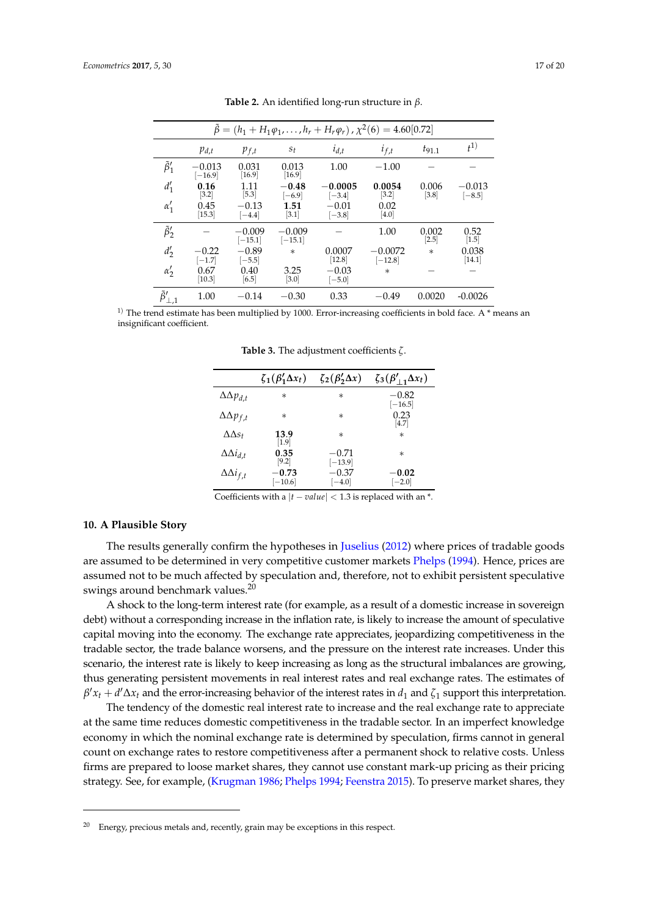<span id="page-16-0"></span>

| $\beta = (h_1 + H_1 \varphi_1, \dots, h_r + H_r \varphi_r)$ , $\chi^2(6) = 4.60[0.72]$ |                       |                       |                       |                       |                        |                  |                      |
|----------------------------------------------------------------------------------------|-----------------------|-----------------------|-----------------------|-----------------------|------------------------|------------------|----------------------|
|                                                                                        | $p_{d,t}$             | $p_{f,t}$             | $s_t$                 | $i_{d,t}$             | $i_{f,t}$              | $t_{91.1}$       | $_{f}1)$             |
| $\tilde{\beta}'_1$                                                                     | $-0.013$<br>$[-16.9]$ | 0.031<br>[16.9]       | 0.013<br>$[16.9]$     | 1.00                  | $-1.00$                |                  |                      |
| $d'_1$                                                                                 | 0.16<br>$[3.2]$       | 1.11<br>$[5.3]$       | $-0.48$<br>$[-6.9]$   | $-0.0005$<br>$[-3.4]$ | 0.0054<br>$[3.2]$      | 0.006<br>$[3.8]$ | $-0.013$<br>$[-8.5]$ |
| $\alpha'_1$                                                                            | 0.45<br>$[15.3]$      | $-0.13$<br>$[-4.4]$   | 1.51<br>$[3.1]$       | $-0.01$<br>$[-3.8]$   | 0.02<br>$[4.0]$        |                  |                      |
| $\tilde{\beta}'_2$                                                                     |                       | $-0.009$<br>$[-15.1]$ | $-0.009$<br>$[-15.1]$ |                       | 1.00                   | 0.002<br>$[2.5]$ | 0.52<br>$[1.5]$      |
| $d'_2$                                                                                 | $-0.22$<br>$[-1.7]$   | $-0.89$<br>$[-5.5]$   | $\ast$                | 0.0007<br>[12.8]      | $-0.0072$<br>$[-12.8]$ | $\ast$           | 0.038<br>[14.1]      |
| $\alpha_2'$                                                                            | 0.67<br>[10.3]        | 0.40<br>[6.5]         | 3.25<br>[3.0]         | $-0.03$<br>$[-5.0]$   | $\ast$                 |                  |                      |
| $\tilde{\theta}'_{\perp,1}$                                                            | 1.00                  | $-0.14$               | $-0.30$               | 0.33                  | $-0.49$                | 0.0020           | $-0.0026$            |

**Table 2.** An identified long-run structure in *β*.

<span id="page-16-1"></span><sup>1)</sup> The trend estimate has been multiplied by 1000. Error-increasing coefficients in bold face. A  $*$  means an insignificant coefficient.

**Table 3.** The adjustment coefficients *ζ*.

|                         | $\zeta_1(\beta_1'\Delta x_t)$ | $\zeta_2(\beta'_2\Delta x)$ | $\zeta_3(\beta'_{\perp 1}\Delta x_t)$ |
|-------------------------|-------------------------------|-----------------------------|---------------------------------------|
| $\Delta\Delta p_{d,t}$  | $\ast$                        | $\ast$                      | $-0.82$<br>$[-16.5]$                  |
| $\Delta \Delta p_{f,t}$ | $^\ast$                       | $\ast$                      | 0.23<br>[4.7]                         |
| $\Delta\Delta s_t$      | 13.9<br>$\left[1.9\right]$    | $\ast$                      | $\ast$                                |
| $\Delta \Delta i_{d,t}$ | 0.35<br>[9.2]                 | $-0.71$<br>$[-13.9]$        | $^\ast$                               |
| $\Delta \Delta i_{f,t}$ | $-0.73$<br>$[-10.6]$          | $-0.37$<br>$[-4.0]$         | $-0.02$<br>$[-2.0]$                   |

Coefficients with a  $|t - value| < 1.3$  is replaced with an  $*$ .

#### **10. A Plausible Story**

The results generally confirm the hypotheses in [Juselius](#page-19-5) [\(2012\)](#page-19-5) where prices of tradable goods are assumed to be determined in very competitive customer markets [Phelps](#page-19-17) [\(1994\)](#page-19-17). Hence, prices are assumed not to be much affected by speculation and, therefore, not to exhibit persistent speculative swings around benchmark values.<sup>20</sup>

A shock to the long-term interest rate (for example, as a result of a domestic increase in sovereign debt) without a corresponding increase in the inflation rate, is likely to increase the amount of speculative capital moving into the economy. The exchange rate appreciates, jeopardizing competitiveness in the tradable sector, the trade balance worsens, and the pressure on the interest rate increases. Under this scenario, the interest rate is likely to keep increasing as long as the structural imbalances are growing, thus generating persistent movements in real interest rates and real exchange rates. The estimates of  $\beta' x_t + d' \Delta x_t$  and the error-increasing behavior of the interest rates in  $d_1$  and  $\zeta_1$  support this interpretation.

The tendency of the domestic real interest rate to increase and the real exchange rate to appreciate at the same time reduces domestic competitiveness in the tradable sector. In an imperfect knowledge economy in which the nominal exchange rate is determined by speculation, firms cannot in general count on exchange rates to restore competitiveness after a permanent shock to relative costs. Unless firms are prepared to loose market shares, they cannot use constant mark-up pricing as their pricing strategy. See, for example, [\(Krugman](#page-19-18) [1986;](#page-19-18) [Phelps](#page-19-17) [1994;](#page-19-17) [Feenstra](#page-18-22) [2015\)](#page-18-22). To preserve market shares, they

<sup>&</sup>lt;sup>20</sup> Energy, precious metals and, recently, grain may be exceptions in this respect.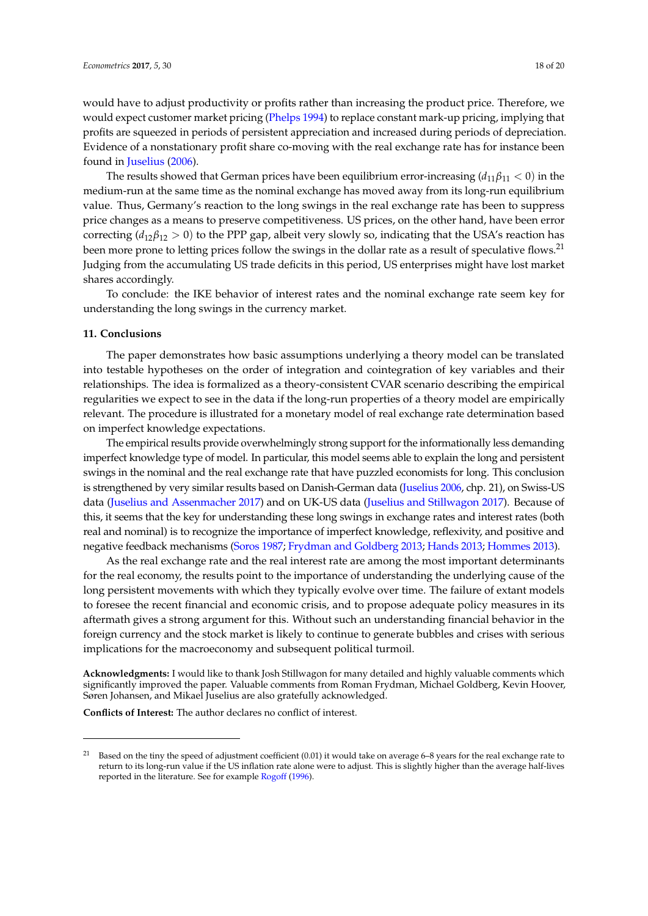would have to adjust productivity or profits rather than increasing the product price. Therefore, we would expect customer market pricing [\(Phelps](#page-19-17) [1994\)](#page-19-17) to replace constant mark-up pricing, implying that profits are squeezed in periods of persistent appreciation and increased during periods of depreciation. Evidence of a nonstationary profit share co-moving with the real exchange rate has for instance been found in [Juselius](#page-18-7) [\(2006\)](#page-18-7).

The results showed that German prices have been equilibrium error-increasing  $(d_{11}\beta_{11} < 0)$  in the medium-run at the same time as the nominal exchange has moved away from its long-run equilibrium value. Thus, Germany's reaction to the long swings in the real exchange rate has been to suppress price changes as a means to preserve competitiveness. US prices, on the other hand, have been error correcting (*d*12*β*<sup>12</sup> > 0) to the PPP gap, albeit very slowly so, indicating that the USA's reaction has been more prone to letting prices follow the swings in the dollar rate as a result of speculative flows.<sup>21</sup> Judging from the accumulating US trade deficits in this period, US enterprises might have lost market shares accordingly.

To conclude: the IKE behavior of interest rates and the nominal exchange rate seem key for understanding the long swings in the currency market.

#### **11. Conclusions**

The paper demonstrates how basic assumptions underlying a theory model can be translated into testable hypotheses on the order of integration and cointegration of key variables and their relationships. The idea is formalized as a theory-consistent CVAR scenario describing the empirical regularities we expect to see in the data if the long-run properties of a theory model are empirically relevant. The procedure is illustrated for a monetary model of real exchange rate determination based on imperfect knowledge expectations.

The empirical results provide overwhelmingly strong support for the informationally less demanding imperfect knowledge type of model. In particular, this model seems able to explain the long and persistent swings in the nominal and the real exchange rate that have puzzled economists for long. This conclusion is strengthened by very similar results based on Danish-German data [\(Juselius](#page-18-7) [2006,](#page-18-7) chp. 21), on Swiss-US data [\(Juselius and Assenmacher](#page-19-13) [2017\)](#page-19-13) and on UK-US data [\(Juselius and Stillwagon](#page-19-16) [2017\)](#page-19-16). Because of this, it seems that the key for understanding these long swings in exchange rates and interest rates (both real and nominal) is to recognize the importance of imperfect knowledge, reflexivity, and positive and negative feedback mechanisms [\(Soros](#page-19-8) [1987;](#page-19-8) [Frydman and Goldberg](#page-18-23) [2013;](#page-18-23) [Hands](#page-18-24) [2013;](#page-18-24) [Hommes](#page-18-25) [2013\)](#page-18-25).

As the real exchange rate and the real interest rate are among the most important determinants for the real economy, the results point to the importance of understanding the underlying cause of the long persistent movements with which they typically evolve over time. The failure of extant models to foresee the recent financial and economic crisis, and to propose adequate policy measures in its aftermath gives a strong argument for this. Without such an understanding financial behavior in the foreign currency and the stock market is likely to continue to generate bubbles and crises with serious implications for the macroeconomy and subsequent political turmoil.

**Acknowledgments:** I would like to thank Josh Stillwagon for many detailed and highly valuable comments which significantly improved the paper. Valuable comments from Roman Frydman, Michael Goldberg, Kevin Hoover, Søren Johansen, and Mikael Juselius are also gratefully acknowledged.

**Conflicts of Interest:** The author declares no conflict of interest.

<sup>21</sup> Based on the tiny the speed of adjustment coefficient (0.01) it would take on average 6–8 years for the real exchange rate to return to its long-run value if the US inflation rate alone were to adjust. This is slightly higher than the average half-lives reported in the literature. See for example [Rogoff](#page-19-19) [\(1996\)](#page-19-19).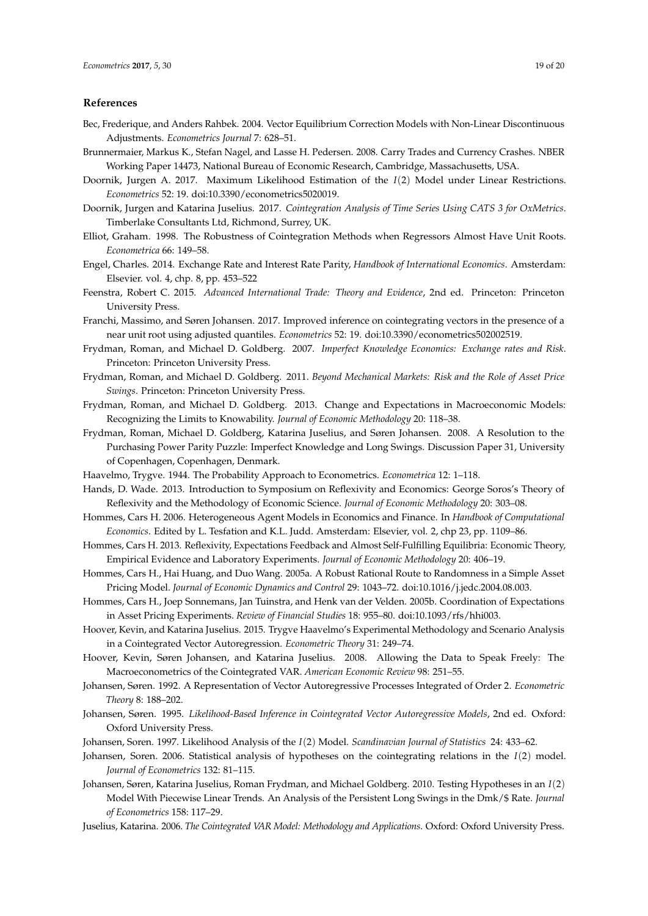## **References**

- <span id="page-18-13"></span>Bec, Frederique, and Anders Rahbek. 2004. Vector Equilibrium Correction Models with Non-Linear Discontinuous Adjustments. *Econometrics Journal* 7: 628–51.
- <span id="page-18-15"></span>Brunnermaier, Markus K., Stefan Nagel, and Lasse H. Pedersen. 2008. Carry Trades and Currency Crashes. NBER Working Paper 14473, National Bureau of Economic Research, Cambridge, Massachusetts, USA.
- <span id="page-18-21"></span>Doornik, Jurgen A. 2017. Maximum Likelihood Estimation of the *I*(2) Model under Linear Restrictions. *Econometrics* 52: 19. doi:10.3390/econometrics5020019.
- <span id="page-18-16"></span>Doornik, Jurgen and Katarina Juselius. 2017. *Cointegration Analysis of Time Series Using CATS 3 for OxMetrics*. Timberlake Consultants Ltd, Richmond, Surrey, UK.
- <span id="page-18-11"></span>Elliot, Graham. 1998. The Robustness of Cointegration Methods when Regressors Almost Have Unit Roots. *Econometrica* 66: 149–58.
- <span id="page-18-0"></span>Engel, Charles. 2014. Exchange Rate and Interest Rate Parity, *Handbook of International Economics*. Amsterdam: Elsevier. vol. 4, chp. 8, pp. 453–522
- <span id="page-18-22"></span>Feenstra, Robert C. 2015. *Advanced International Trade: Theory and Evidence*, 2nd ed. Princeton: Princeton University Press.
- <span id="page-18-12"></span>Franchi, Massimo, and Søren Johansen. 2017. Improved inference on cointegrating vectors in the presence of a near unit root using adjusted quantiles. *Econometrics* 52: 19. doi:10.3390/econometrics502002519.
- <span id="page-18-1"></span>Frydman, Roman, and Michael D. Goldberg. 2007. *Imperfect Knowledge Economics: Exchange rates and Risk*. Princeton: Princeton University Press.
- <span id="page-18-2"></span>Frydman, Roman, and Michael D. Goldberg. 2011. *Beyond Mechanical Markets: Risk and the Role of Asset Price Swings*. Princeton: Princeton University Press.
- <span id="page-18-23"></span>Frydman, Roman, and Michael D. Goldberg. 2013. Change and Expectations in Macroeconomic Models: Recognizing the Limits to Knowability. *Journal of Economic Methodology* 20: 118–38.
- <span id="page-18-3"></span>Frydman, Roman, Michael D. Goldberg, Katarina Juselius, and Søren Johansen. 2008. A Resolution to the Purchasing Power Parity Puzzle: Imperfect Knowledge and Long Swings. Discussion Paper 31, University of Copenhagen, Copenhagen, Denmark.
- <span id="page-18-10"></span>Haavelmo, Trygve. 1944. The Probability Approach to Econometrics. *Econometrica* 12: 1–118.
- <span id="page-18-24"></span>Hands, D. Wade. 2013. Introduction to Symposium on Reflexivity and Economics: George Soros's Theory of Reflexivity and the Methodology of Economic Science. *Journal of Economic Methodology* 20: 303–08.
- <span id="page-18-6"></span>Hommes, Cars H. 2006. Heterogeneous Agent Models in Economics and Finance. In *Handbook of Computational Economics*. Edited by L. Tesfation and K.L. Judd. Amsterdam: Elsevier, vol. 2, chp 23, pp. 1109–86.
- <span id="page-18-25"></span>Hommes, Cars H. 2013. Reflexivity, Expectations Feedback and Almost Self-Fulfilling Equilibria: Economic Theory, Empirical Evidence and Laboratory Experiments. *Journal of Economic Methodology* 20: 406–19.
- <span id="page-18-4"></span>Hommes, Cars H., Hai Huang, and Duo Wang. 2005a. A Robust Rational Route to Randomness in a Simple Asset Pricing Model. *Journal of Economic Dynamics and Control* 29: 1043–72. doi:10.1016/j.jedc.2004.08.003.
- <span id="page-18-5"></span>Hommes, Cars H., Joep Sonnemans, Jan Tuinstra, and Henk van der Velden. 2005b. Coordination of Expectations in Asset Pricing Experiments. *Review of Financial Studies* 18: 955–80. doi:10.1093/rfs/hhi003.
- <span id="page-18-9"></span>Hoover, Kevin, and Katarina Juselius. 2015. Trygve Haavelmo's Experimental Methodology and Scenario Analysis in a Cointegrated Vector Autoregression. *Econometric Theory* 31: 249–74.
- <span id="page-18-8"></span>Hoover, Kevin, Søren Johansen, and Katarina Juselius. 2008. Allowing the Data to Speak Freely: The Macroeconometrics of the Cointegrated VAR. *American Economic Review* 98: 251–55.
- <span id="page-18-17"></span>Johansen, Søren. 1992. A Representation of Vector Autoregressive Processes Integrated of Order 2. *Econometric Theory* 8: 188–202.
- <span id="page-18-18"></span>Johansen, Søren. 1995. *Likelihood-Based Inference in Cointegrated Vector Autoregressive Models*, 2nd ed. Oxford: Oxford University Press.
- <span id="page-18-19"></span>Johansen, Soren. 1997. Likelihood Analysis of the *I*(2) Model. *Scandinavian Journal of Statistics* 24: 433–62.
- <span id="page-18-20"></span>Johansen, Soren. 2006. Statistical analysis of hypotheses on the cointegrating relations in the *I*(2) model. *Journal of Econometrics* 132: 81–115.
- <span id="page-18-14"></span>Johansen, Søren, Katarina Juselius, Roman Frydman, and Michael Goldberg. 2010. Testing Hypotheses in an *I*(2) Model With Piecewise Linear Trends. An Analysis of the Persistent Long Swings in the Dmk/\$ Rate. *Journal of Econometrics* 158: 117–29.
- <span id="page-18-7"></span>Juselius, Katarina. 2006. *The Cointegrated VAR Model: Methodology and Applications*. Oxford: Oxford University Press.